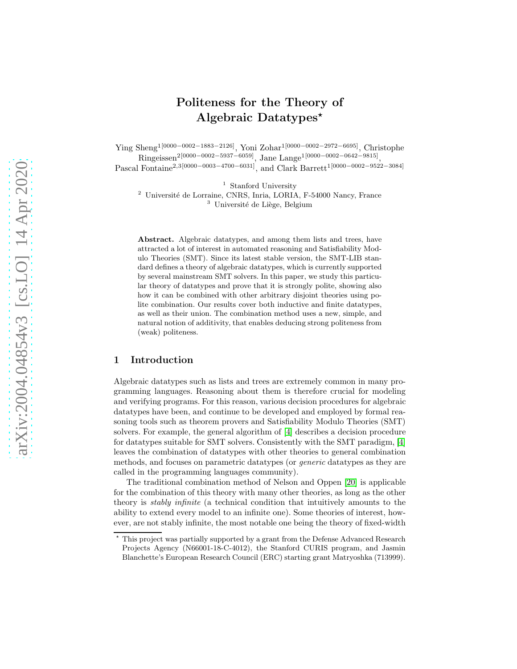# Politeness for the Theory of Algebraic Datatypes<sup> $\star$ </sup>

Ying Sheng1[0000−0002−1883−2126], Yoni Zohar1[0000−0002−2972−6695], Christophe  $\rm{Ringeissen}^{2[0000-0002-5937-6059]},$   $\rm{Jane~Large}^{1[0000-0002-0642-9815]},$ 

Pascal Fontaine2,3[0000−0003−4700−6031], and Clark Barrett1[0000−0002−9522−3084]

 $^{\rm 1}$  Stanford University

 $2$  Université de Lorraine, CNRS, Inria, LORIA, F-54000 Nancy, France <sup>3</sup> Université de Liège, Belgium

Abstract. Algebraic datatypes, and among them lists and trees, have attracted a lot of interest in automated reasoning and Satisfiability Modulo Theories (SMT). Since its latest stable version, the SMT-LIB standard defines a theory of algebraic datatypes, which is currently supported by several mainstream SMT solvers. In this paper, we study this particular theory of datatypes and prove that it is strongly polite, showing also how it can be combined with other arbitrary disjoint theories using polite combination. Our results cover both inductive and finite datatypes, as well as their union. The combination method uses a new, simple, and natural notion of additivity, that enables deducing strong politeness from (weak) politeness.

## 1 Introduction

Algebraic datatypes such as lists and trees are extremely common in many programming languages. Reasoning about them is therefore crucial for modeling and verifying programs. For this reason, various decision procedures for algebraic datatypes have been, and continue to be developed and employed by formal reasoning tools such as theorem provers and Satisfiability Modulo Theories (SMT) solvers. For example, the general algorithm of [\[4\]](#page-16-0) describes a decision procedure for datatypes suitable for SMT solvers. Consistently with the SMT paradigm, [\[4\]](#page-16-0) leaves the combination of datatypes with other theories to general combination methods, and focuses on parametric datatypes (or generic datatypes as they are called in the programming languages community).

The traditional combination method of Nelson and Oppen [20] is applicable for the combination of this theory with many other theories, as long as the other theory is stably infinite (a technical condition that intuitively amounts to the ability to extend every model to an infinite one). Some theories of interest, however, are not stably infinite, the most notable one being the theory of fixed-width

 $^\star$  This project was partially supported by a grant from the Defense Advanced Research Projects Agency (N66001-18-C-4012), the Stanford CURIS program, and Jasmin Blanchette's European Research Council (ERC) starting grant Matryoshka (713999).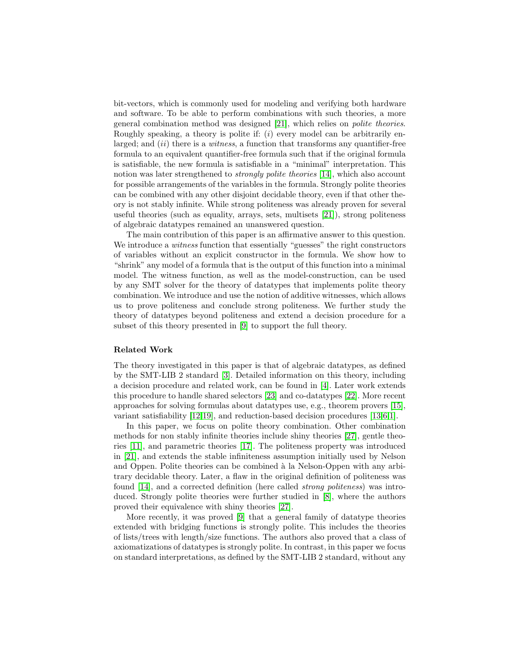bit-vectors, which is commonly used for modeling and verifying both hardware and software. To be able to perform combinations with such theories, a more general combination method was designed [21], which relies on polite theories. Roughly speaking, a theory is polite if:  $(i)$  every model can be arbitrarily enlarged; and  $(ii)$  there is a *witness*, a function that transforms any quantifier-free formula to an equivalent quantifier-free formula such that if the original formula is satisfiable, the new formula is satisfiable in a "minimal" interpretation. This notion was later strengthened to *strongly polite theories* [\[14\]](#page-16-1), which also account for possible arrangements of the variables in the formula. Strongly polite theories can be combined with any other disjoint decidable theory, even if that other theory is not stably infinite. While strong politeness was already proven for several useful theories (such as equality, arrays, sets, multisets [21]), strong politeness of algebraic datatypes remained an unanswered question.

The main contribution of this paper is an affirmative answer to this question. We introduce a *witness* function that essentially "guesses" the right constructors of variables without an explicit constructor in the formula. We show how to "shrink" any model of a formula that is the output of this function into a minimal model. The witness function, as well as the model-construction, can be used by any SMT solver for the theory of datatypes that implements polite theory combination. We introduce and use the notion of additive witnesses, which allows us to prove politeness and conclude strong politeness. We further study the theory of datatypes beyond politeness and extend a decision procedure for a subset of this theory presented in [\[9\]](#page-16-2) to support the full theory.

#### Related Work

The theory investigated in this paper is that of algebraic datatypes, as defined by the SMT-LIB 2 standard [\[3\]](#page-16-3). Detailed information on this theory, including a decision procedure and related work, can be found in [\[4\]](#page-16-0). Later work extends this procedure to handle shared selectors [23] and co-datatypes [22]. More recent approaches for solving formulas about datatypes use, e.g., theorem provers [15], variant satisfiability [12,19], and reduction-based decision procedures [\[13,](#page-16-4)6,1].

In this paper, we focus on polite theory combination. Other combination methods for non stably infinite theories include shiny theories [27], gentle theories [11], and parametric theories [17]. The politeness property was introduced in [21], and extends the stable infiniteness assumption initially used by Nelson and Oppen. Polite theories can be combined à la Nelson-Oppen with any arbitrary decidable theory. Later, a flaw in the original definition of politeness was found [\[14\]](#page-16-1), and a corrected definition (here called strong politeness) was introduced. Strongly polite theories were further studied in [\[8\]](#page-16-5), where the authors proved their equivalence with shiny theories [27].

More recently, it was proved [\[9\]](#page-16-2) that a general family of datatype theories extended with bridging functions is strongly polite. This includes the theories of lists/trees with length/size functions. The authors also proved that a class of axiomatizations of datatypes is strongly polite. In contrast, in this paper we focus on standard interpretations, as defined by the SMT-LIB 2 standard, without any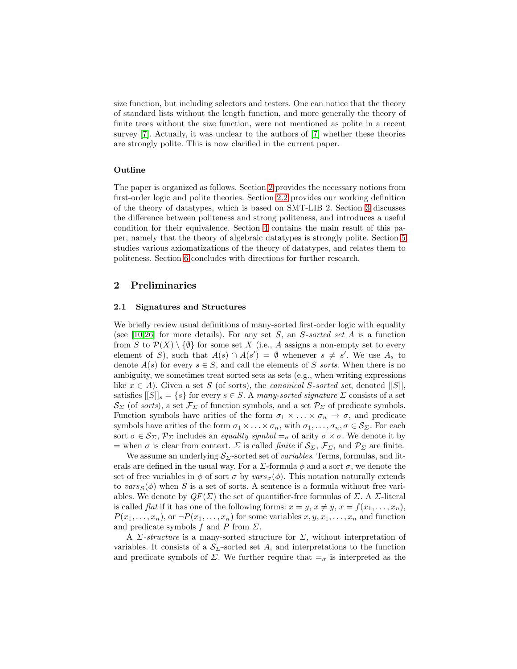size function, but including selectors and testers. One can notice that the theory of standard lists without the length function, and more generally the theory of finite trees without the size function, were not mentioned as polite in a recent survey [7]. Actually, it was unclear to the authors of [7] whether these theories are strongly polite. This is now clarified in the current paper.

## Outline

The paper is organized as follows. Section [2](#page-2-0) provides the necessary notions from first-order logic and polite theories. Section [2.2](#page-3-0) provides our working definition of the theory of datatypes, which is based on SMT-LIB 2. Section [3](#page-7-0) discusses the difference between politeness and strong politeness, and introduces a useful condition for their equivalence. Section [4](#page-8-0) contains the main result of this paper, namely that the theory of algebraic datatypes is strongly polite. Section [5](#page-13-0) studies various axiomatizations of the theory of datatypes, and relates them to politeness. Section [6](#page-15-0) concludes with directions for further research.

# <span id="page-2-0"></span>2 Preliminaries

#### 2.1 Signatures and Structures

We briefly review usual definitions of many-sorted first-order logic with equality (see [\[10,](#page-16-6)26] for more details). For any set  $S$ , an  $S$ -sorted set  $A$  is a function from S to  $\mathcal{P}(X) \setminus \{\emptyset\}$  for some set X (i.e., A assigns a non-empty set to every element of S), such that  $A(s) \cap A(s') = \emptyset$  whenever  $s \neq s'$ . We use  $A_s$  to denote  $A(s)$  for every  $s \in S$ , and call the elements of S sorts. When there is no ambiguity, we sometimes treat sorted sets as sets (e.g., when writing expressions like  $x \in A$ ). Given a set S (of sorts), the *canonical* S-sorted set, denoted [[S]], satisfies  $[[S]]_s = \{s\}$  for every  $s \in S$ . A many-sorted signature  $\Sigma$  consists of a set  $\mathcal{S}_{\Sigma}$  (of sorts), a set  $\mathcal{F}_{\Sigma}$  of function symbols, and a set  $\mathcal{P}_{\Sigma}$  of predicate symbols. Function symbols have arities of the form  $\sigma_1 \times \ldots \times \sigma_n \to \sigma$ , and predicate symbols have arities of the form  $\sigma_1 \times \ldots \times \sigma_n$ , with  $\sigma_1, \ldots, \sigma_n, \sigma \in \mathcal{S}_{\Sigma}$ . For each sort  $\sigma \in \mathcal{S}_{\Sigma}, \mathcal{P}_{\Sigma}$  includes an *equality symbol*  $=_{\sigma}$  of arity  $\sigma \times \sigma$ . We denote it by = when  $\sigma$  is clear from context.  $\Sigma$  is called *finite* if  $\mathcal{S}_{\Sigma}, \mathcal{F}_{\Sigma}$ , and  $\mathcal{P}_{\Sigma}$  are finite.

We assume an underlying  $S_{\Sigma}$ -sorted set of *variables*. Terms, formulas, and literals are defined in the usual way. For a  $\Sigma$ -formula  $\phi$  and a sort  $\sigma$ , we denote the set of free variables in  $\phi$  of sort  $\sigma$  by vars $_{\sigma}(\phi)$ . This notation naturally extends to vars $S(\phi)$  when S is a set of sorts. A sentence is a formula without free variables. We denote by  $QF(\Sigma)$  the set of quantifier-free formulas of  $\Sigma$ . A  $\Sigma$ -literal is called *flat* if it has one of the following forms:  $x = y, x \neq y, x = f(x_1, \ldots, x_n)$ ,  $P(x_1, \ldots, x_n)$ , or  $\neg P(x_1, \ldots, x_n)$  for some variables  $x, y, x_1, \ldots, x_n$  and function and predicate symbols f and P from  $\Sigma$ .

A *Σ*-structure is a many-sorted structure for *Σ*, without interpretation of variables. It consists of a  $S_{\Sigma}$ -sorted set A, and interpretations to the function and predicate symbols of  $\Sigma$ . We further require that  $=_\sigma$  is interpreted as the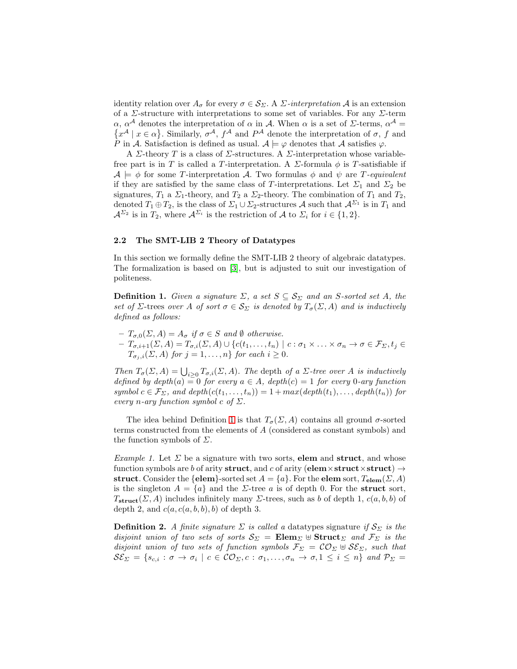identity relation over  $A_{\sigma}$  for every  $\sigma \in \mathcal{S}_{\Sigma}$ . A  $\Sigma$ -interpretation A is an extension of a  $\Sigma$ -structure with interpretations to some set of variables. For any  $\Sigma$ -term  $\alpha$ ,  $\alpha^{\mathcal{A}}$  denotes the interpretation of  $\alpha$  in  $\mathcal{A}$ . When  $\alpha$  is a set of  $\Sigma$ -terms,  $\alpha^{\mathcal{A}} =$  $\{x^{\mathcal{A}} \mid x \in \alpha\}$ . Similarly,  $\sigma^{\mathcal{A}}$ ,  $f^{\mathcal{A}}$  and  $P^{\mathcal{A}}$  denote the interpretation of  $\sigma$ , f and P in A. Satisfaction is defined as usual.  $A \models \varphi$  denotes that A satisfies  $\varphi$ .

A  $\Sigma$ -theory T is a class of  $\Sigma$ -structures. A  $\Sigma$ -interpretation whose variablefree part is in T is called a T-interpretation. A  $\Sigma$ -formula  $\phi$  is T-satisfiable if  $\mathcal{A} \models \phi$  for some T-interpretation A. Two formulas  $\phi$  and  $\psi$  are T-equivalent if they are satisfied by the same class of T-interpretations. Let  $\Sigma_1$  and  $\Sigma_2$  be signatures,  $T_1$  a  $\Sigma_1$ -theory, and  $T_2$  a  $\Sigma_2$ -theory. The combination of  $T_1$  and  $T_2$ , denoted  $T_1 \oplus T_2$ , is the class of  $\Sigma_1 \cup \Sigma_2$ -structures A such that  $\mathcal{A}^{\Sigma_1}$  is in  $T_1$  and  $\mathcal{A}^{\Sigma_2}$  is in  $T_2$ , where  $\mathcal{A}^{\Sigma_i}$  is the restriction of A to  $\Sigma_i$  for  $i \in \{1,2\}$ .

### <span id="page-3-0"></span>2.2 The SMT-LIB 2 Theory of Datatypes

In this section we formally define the SMT-LIB 2 theory of algebraic datatypes. The formalization is based on [\[3\]](#page-16-3), but is adjusted to suit our investigation of politeness.

<span id="page-3-1"></span>**Definition 1.** Given a signature  $\Sigma$ , a set  $S \subseteq S_{\Sigma}$  and an S-sorted set A, the set of Σ-trees over A of sort  $\sigma \in \mathcal{S}_{\Sigma}$  is denoted by  $T_{\sigma}(\Sigma, A)$  and is inductively defined as follows:

 $-T_{\sigma,0}(\Sigma, A) = A_{\sigma}$  if  $\sigma \in S$  and  $\emptyset$  otherwise.  $- T_{\sigma,i+1}(\Sigma, A) = T_{\sigma,i}(\Sigma, A) \cup \{c(t_1,\ldots,t_n) \mid c : \sigma_1 \times \ldots \times \sigma_n \to \sigma \in \mathcal{F}_{\Sigma}, t_j \in \mathcal{F}_{\Sigma} \}$  $T_{\sigma_j,i}(\Sigma, A)$  for  $j = 1, \ldots, n$  for each  $i \geq 0$ .

Then  $T_{\sigma}(\Sigma, A) = \bigcup_{i \geq 0} T_{\sigma,i}(\Sigma, A)$ . The depth of a  $\Sigma$ -tree over A is inductively defined by  $depth(a) = 0$  for every  $a \in A$ ,  $depth(c) = 1$  for every 0-ary function symbol  $c \in \mathcal{F}_{\Sigma}$ , and depth $(c(t_1, \ldots, t_n)) = 1 + max(depth(t_1), \ldots, depth(t_n))$  for every n-ary function symbol c of  $\Sigma$ .

The idea behind Definition [1](#page-3-1) is that  $T_{\sigma}(\Sigma, A)$  contains all ground  $\sigma$ -sorted terms constructed from the elements of A (considered as constant symbols) and the function symbols of  $\Sigma$ .

*Example 1.* Let  $\Sigma$  be a signature with two sorts, **elem** and **struct**, and whose function symbols are b of arity struct, and c of arity (elem×struct×struct)  $\rightarrow$ struct. Consider the {elem}-sorted set  $A = \{a\}$ . For the elem sort,  $T_{\text{elem}}(\Sigma, A)$ is the singleton  $A = \{a\}$  and the *Σ*-tree *a* is of depth 0. For the struct sort,  $T_{\text{struct}}(\Sigma, A)$  includes infinitely many  $\Sigma$ -trees, such as b of depth 1,  $c(a, b, b)$  of depth 2, and  $c(a, c(a, b, b), b)$  of depth 3.

<span id="page-3-2"></span>**Definition 2.** A finite signature  $\Sigma$  is called a datatypes signature if  $S_{\Sigma}$  is the disjoint union of two sets of sorts  $S_{\Sigma} = \mathbf{Elem}_{\Sigma} \oplus \mathbf{Struct}_{\Sigma}$  and  $\mathcal{F}_{\Sigma}$  is the disjoint union of two sets of function symbols  $\mathcal{F}_{\Sigma} = \mathcal{CO}_{\Sigma} \cup \mathcal{SE}_{\Sigma}$ , such that  $\mathcal{S}\mathcal{E}_{\Sigma} = \{s_{c,i}:\sigma\rightarrow\sigma_i\mid c\in\mathcal{CO}_{\Sigma}, c:\sigma_1,\ldots,\sigma_n\rightarrow\sigma, 1\leq i\leq n\}$  and  $\mathcal{P}_{\Sigma} =$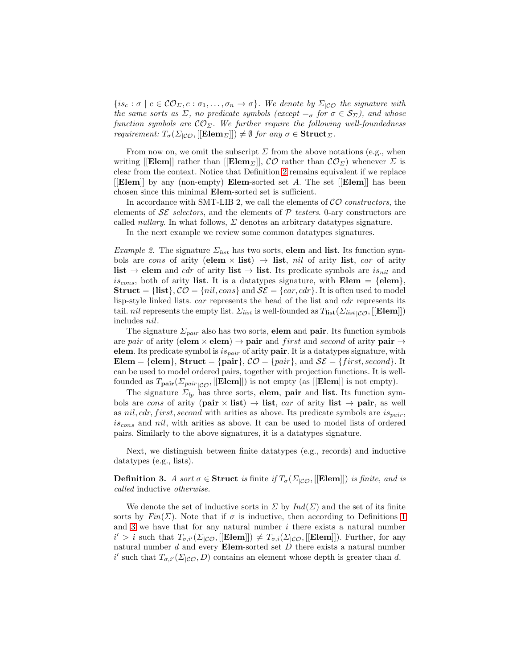${i_s \in \mathcal{CO}_{\Sigma}, c : \sigma_1, \ldots, \sigma_n \to \sigma}$ . We denote by  $\Sigma_{|CO}$  the signature with the same sorts as  $\Sigma$ , no predicate symbols (except  $=_\sigma$  for  $\sigma \in \mathcal{S}_{\Sigma}$ ), and whose function symbols are  $\mathcal{CO}_{\Sigma}$ . We further require the following well-foundedness requirement:  $T_{\sigma}(\Sigma_{|\mathcal{CO}},[[\mathbf{Elem}_{\Sigma}]]) \neq \emptyset$  for any  $\sigma \in \mathbf{Struct}_{\Sigma}$ .

From now on, we omit the subscript  $\Sigma$  from the above notations (e.g., when writing [[Elem]] rather than [[Elem<sub>Σ</sub>]],  $\mathcal{CO}$  rather than  $\mathcal{CO}_{\Sigma}$ ) whenever  $\Sigma$  is clear from the context. Notice that Definition [2](#page-3-2) remains equivalent if we replace  $\left| \left[ \text{Element} \right] \right|$  by any (non-empty) Elem-sorted set A. The set  $\left| \left[ \text{Element} \right] \right|$  has been chosen since this minimal Elem-sorted set is sufficient.

In accordance with SMT-LIB 2, we call the elements of  $\mathcal{CO}$  constructors, the elements of  $\mathcal{SE}$  selectors, and the elements of  $\mathcal P$  testers. 0-ary constructors are called *nullary*. In what follows,  $\Sigma$  denotes an arbitrary datatypes signature.

In the next example we review some common datatypes signatures.

*Example 2.* The signature  $\Sigma_{list}$  has two sorts, **elem** and **list**. Its function symbols are cons of arity (elem  $\times$  list)  $\rightarrow$  list, nil of arity list, car of arity list  $\rightarrow$  elem and *cdr* of arity list  $\rightarrow$  list. Its predicate symbols are *is*<sub>nil</sub> and  $is_{cons}$ , both of arity list. It is a datatypes signature, with Elem = {elem}, Struct = {list},  $CO = \{nil, cons\}$  and  $SE = \{car, cdr\}$ . It is often used to model lisp-style linked lists. car represents the head of the list and cdr represents its tail. *nil* represents the empty list.  $\Sigma_{list}$  is well-founded as  $T_{list}(\Sigma_{list|CO}, [[\mathbf{Element}]])$ includes nil.

The signature  $\Sigma_{pair}$  also has two sorts, elem and pair. Its function symbols are pair of arity (elem  $\times$  elem)  $\rightarrow$  pair and *first* and *second* of arity pair  $\rightarrow$ elem. Its predicate symbol is  $is_{pair}$  of arity pair. It is a datatypes signature, with Elem = {elem}, Struct = {pair},  $\mathcal{CO} = \{pair\}$ , and  $\mathcal{SE} = \{first, second\}$ . It can be used to model ordered pairs, together with projection functions. It is wellfounded as  $T_{\text{pair}}(\Sigma_{pair}([\text{Element}]])$  is not empty (as  $[[\text{Element}]]$  is not empty).

The signature  $\Sigma_{lp}$  has three sorts, elem, pair and list. Its function symbols are cons of arity (pair  $\times$  list)  $\rightarrow$  list, car of arity list  $\rightarrow$  pair, as well as nil, cdr, first, second with arities as above. Its predicate symbols are  $is_{pair}$ ,  $is_{cons}$  and nil, with arities as above. It can be used to model lists of ordered pairs. Similarly to the above signatures, it is a datatypes signature.

<span id="page-4-0"></span>Next, we distinguish between finite datatypes (e.g., records) and inductive datatypes (e.g., lists).

**Definition 3.** A sort  $\sigma \in$  Struct is finite if  $T_{\sigma}(\Sigma_{|\mathcal{CO}},[[\mathbf{Elem}]])$  is finite, and is called inductive otherwise.

We denote the set of inductive sorts in  $\Sigma$  by  $Ind(\Sigma)$  and the set of its finite sorts by  $Fin(\Sigma)$ . Note that if  $\sigma$  is inductive, then according to Definitions [1](#page-3-1) and  $3$  we have that for any natural number  $i$  there exists a natural number  $i' > i$  such that  $T_{\sigma,i'}(\Sigma_{|\mathcal{CO}},[[\mathbf{Elem}]]) \neq T_{\sigma,i}(\Sigma_{|\mathcal{CO}},[[\mathbf{Element}]]])$ . Further, for any natural number  $d$  and every **Elem-sorted set**  $D$  there exists a natural number i' such that  $T_{\sigma,i'}(\Sigma|\mathcal{O},D)$  contains an element whose depth is greater than d.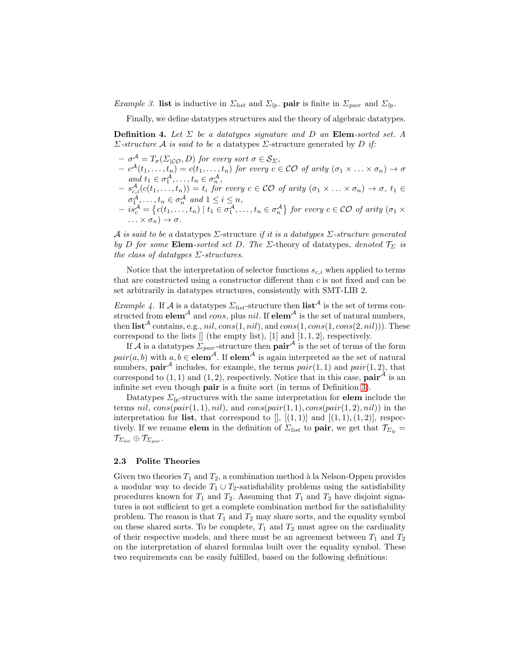*Example 3.* list is inductive in  $\Sigma_{list}$  and  $\Sigma_{lp}$ . pair is finite in  $\Sigma_{pair}$  and  $\Sigma_{lp}$ .

Finally, we define datatypes structures and the theory of algebraic datatypes.

**Definition 4.** Let  $\Sigma$  be a datatypes signature and D an Elem-sorted set. A Σ-structure A is said to be a datatypes Σ-structure generated by D if:

- $-\sigma^{\mathcal{A}}=T_{\sigma}(\Sigma_{|\mathcal{CO}},D)$  for every sort  $\sigma\in\mathcal{S}_{\Sigma},$
- $-c^{\mathcal{A}}(t_1,\ldots,t_n)=c(t_1,\ldots,t_n)$  for every  $c\in\mathcal{CO}$  of arity  $(\sigma_1\times\ldots\times\sigma_n)\to\sigma$ and  $t_1 \in \sigma_1^{\mathcal{A}}, \ldots, t_n \in \sigma_n^{\mathcal{A}},$
- $(s^{\mathcal{A}}_{c,i}(c(t_1,\ldots,t_n)) = t_i$  for every  $c \in \mathcal{CO}$  of arity  $(\sigma_1 \times \ldots \times \sigma_n) \to \sigma$ ,  $t_1 \in \mathcal{C}$  $\sigma_1^{\mathcal{A}}, \ldots, t_n \in \sigma_n^{\mathcal{A}}$  and  $1 \leq i \leq n$ ,
- $-is_{c}^{\mathcal{A}}=\left\{c(t_{1},...,t_{n})\mid t_{1}\in\sigma_{1}^{\mathcal{A}},\ldots,t_{n}\in\sigma_{n}^{\mathcal{A}}\right\}$  for every  $c\in\mathcal{CO}$  of arity  $(\sigma_{1}\times\sigma_{1})$  $\ldots \times \sigma_n) \to \sigma$

A is said to be a datatypes  $\Sigma$ -structure if it is a datatypes  $\Sigma$ -structure generated by D for some Elem-sorted set D. The Σ-theory of datatypes, denoted  $\mathcal{T}_{\Sigma}$  is the class of datatypes  $\Sigma$ -structures.

Notice that the interpretation of selector functions  $s_{c,i}$  when applied to terms that are constructed using a constructor different than  $c$  is not fixed and can be set arbitrarily in datatypes structures, consistently with SMT-LIB 2.

Example 4. If A is a datatypes  $\Sigma_{list}$ -structure then  $list^{\mathcal{A}}$  is the set of terms constructed from elem<sup>A</sup> and cons, plus nil. If elem<sup>A</sup> is the set of natural numbers, then  $\textbf{list}^{\mathcal{A}}$  contains, e.g., nil, cons(1, nil), and cons(1, cons(1, cons(2, nil))). These correspond to the lists  $[]$  (the empty list), [1] and [1, 1, 2], respectively.

If A is a datatypes  $\Sigma_{pair}$ -structure then  $pair^{\mathcal{A}}$  is the set of terms of the form  $pair(a, b)$  with  $a, b \in \textbf{elem}^{\mathcal{A}}$ . If  $\textbf{elem}^{\mathcal{A}}$  is again interpreted as the set of natural numbers, **pair**<sup>A</sup> includes, for example, the terms  $pair(1, 1)$  and  $pair(1, 2)$ , that correspond to  $(1, 1)$  and  $(1, 2)$ , respectively. Notice that in this case, **pair**<sup>*A*</sup> is an infinite set even though pair is a finite sort (in terms of Definition [3\)](#page-4-0).

Datatypes  $\Sigma_{lp}$ -structures with the same interpretation for **elem** include the terms nil,  $cons(pair(1, 1), nil)$ , and  $cons(pair(1, 1), cons(pair(1, 2), nil))$  in the interpretation for list, that correspond to  $[]$ ,  $[(1,1)]$  and  $[(1,1),(1,2)]$ , respectively. If we rename **elem** in the definition of  $\Sigma_{list}$  to **pair**, we get that  $\mathcal{T}_{\Sigma_{ip}} =$  $\mathcal{T}_{\Sigma_{\textit{list}}} \oplus \mathcal{T}_{\Sigma_{\textit{pair}}}.$ 

#### 2.3 Polite Theories

Given two theories  $T_1$  and  $T_2$ , a combination method à la Nelson-Oppen provides a modular way to decide  $T_1 \cup T_2$ -satisfiability problems using the satisfiability procedures known for  $T_1$  and  $T_2$ . Assuming that  $T_1$  and  $T_2$  have disjoint signatures is not sufficient to get a complete combination method for the satisfiability problem. The reason is that  $T_1$  and  $T_2$  may share sorts, and the equality symbol on these shared sorts. To be complete,  $T_1$  and  $T_2$  must agree on the cardinality of their respective models, and there must be an agreement between  $T_1$  and  $T_2$ on the interpretation of shared formulas built over the equality symbol. These two requirements can be easily fulfilled, based on the following definitions: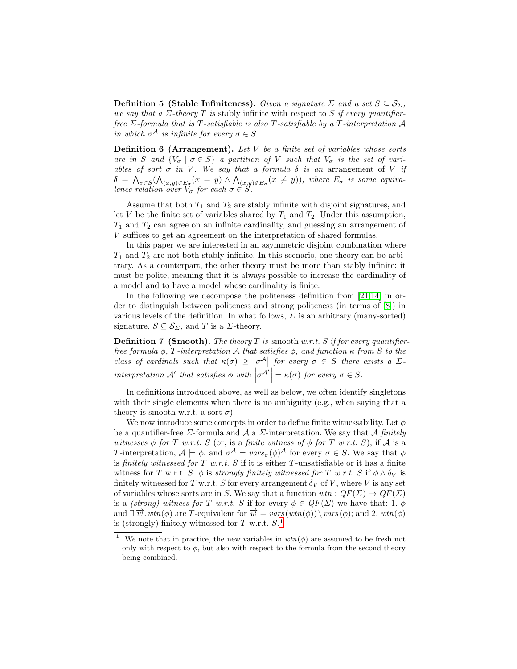**Definition 5 (Stable Infiniteness).** Given a signature  $\Sigma$  and a set  $S \subseteq S_{\Sigma}$ , we say that a  $\Sigma$ -theory T is stably infinite with respect to S if every quantifierfree  $\Sigma$ -formula that is T-satisfiable is also T-satisfiable by a T-interpretation  ${\mathcal A}$ in which  $\sigma^{\mathcal{A}}$  is infinite for every  $\sigma \in S$ .

**Definition 6 (Arrangement).** Let  $V$  be a finite set of variables whose sorts are in S and  $\{V_{\sigma} \mid \sigma \in S\}$  a partition of V such that  $V_{\sigma}$  is the set of variables of sort  $\sigma$  in V. We say that a formula  $\delta$  is an arrangement of V if  $\delta\,=\, \bigwedge_{\sigma\in S}(\bigwedge_{(x,y)\in E_{\sigma}}(x\,=\,y)\,\wedge\,\bigwedge_{(x,y)\notin E_{\sigma}}(x\,\neq\,y)),$  where  $E_{\sigma}\,$  is some equivalence relation over  $V_{\sigma}$  for each  $\sigma \in S$ .

Assume that both  $T_1$  and  $T_2$  are stably infinite with disjoint signatures, and let V be the finite set of variables shared by  $T_1$  and  $T_2$ . Under this assumption,  $T_1$  and  $T_2$  can agree on an infinite cardinality, and guessing an arrangement of V suffices to get an agreement on the interpretation of shared formulas.

In this paper we are interested in an asymmetric disjoint combination where  $T_1$  and  $T_2$  are not both stably infinite. In this scenario, one theory can be arbitrary. As a counterpart, the other theory must be more than stably infinite: it must be polite, meaning that it is always possible to increase the cardinality of a model and to have a model whose cardinality is finite.

In the following we decompose the politeness definition from [21[,14\]](#page-16-1) in order to distinguish between politeness and strong politeness (in terms of [\[8\]](#page-16-5)) in various levels of the definition. In what follows,  $\Sigma$  is an arbitrary (many-sorted) signature,  $S \subseteq S_{\Sigma}$ , and T is a  $\Sigma$ -theory.

**Definition 7 (Smooth).** The theory T is smooth w.r.t. S if for every quantifierfree formula  $\phi$ , T-interpretation A that satisfies  $\phi$ , and function  $\kappa$  from S to the class of cardinals such that  $\kappa(\sigma) \geq |\sigma^{\mathcal{A}}|$  for every  $\sigma \in S$  there exists a  $\Sigma$ interpretation  $\mathcal{A}'$  that satisfies  $\phi$  with  $|\sigma^{\mathcal{A}'}| = \kappa(\sigma)$  for every  $\sigma \in S$ .

In definitions introduced above, as well as below, we often identify singletons with their single elements when there is no ambiguity (e.g., when saying that a theory is smooth w.r.t. a sort  $\sigma$ ).

We now introduce some concepts in order to define finite witnessability. Let  $\phi$ be a quantifier-free  $\Sigma$ -formula and  $\mathcal A$  a  $\Sigma$ -interpretation. We say that  $\mathcal A$  finitely witnesses  $\phi$  for T w.r.t. S (or, is a finite witness of  $\phi$  for T w.r.t. S), if A is a T-interpretation,  $A \models \phi$ , and  $\sigma^A = vars_{\sigma}(\phi)^A$  for every  $\sigma \in S$ . We say that  $\phi$ is finitely witnessed for T w.r.t. S if it is either T-unsatisfiable or it has a finite witness for T w.r.t. S.  $\phi$  is strongly finitely witnessed for T w.r.t. S if  $\phi \wedge \delta_V$  is finitely witnessed for T w.r.t. S for every arrangement  $\delta_V$  of V, where V is any set of variables whose sorts are in S. We say that a function  $wtn: QF(\Sigma) \to QF(\Sigma)$ is a (strong) witness for T w.r.t. S if for every  $\phi \in \mathbb{Q}F(\Sigma)$  we have that: 1.  $\phi$ and  $\exists \overrightarrow{w}.wtn(\phi)$  are T-equivalent for  $\overrightarrow{w} = vars(wtn(\phi))\setminus vars(\phi)$ ; and 2.  $wtn(\phi)$ is (strongly) finitely witnessed for  $T$  w.r.t.  $S$ <sup>[1](#page-6-0)</sup>

<span id="page-6-0"></span><sup>&</sup>lt;sup>1</sup> We note that in practice, the new variables in  $wtn(\phi)$  are assumed to be fresh not only with respect to  $\phi$ , but also with respect to the formula from the second theory being combined.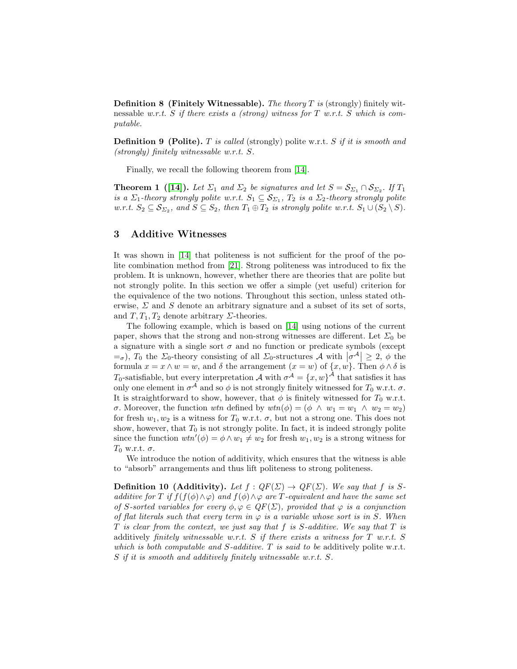**Definition 8 (Finitely Witnessable).** The theory  $T$  is (strongly) finitely witnessable w.r.t. S if there exists a (strong) witness for T w.r.t. S which is computable.

**Definition 9 (Polite).** T is called (strongly) polite w.r.t. S if it is smooth and (strongly) finitely witnessable w.r.t. S.

<span id="page-7-1"></span>Finally, we recall the following theorem from [\[14\]](#page-16-1).

**Theorem 1** ([\[14\]](#page-16-1)). Let  $\Sigma_1$  and  $\Sigma_2$  be signatures and let  $S = S_{\Sigma_1} \cap S_{\Sigma_2}$ . If  $T_1$ is a  $\Sigma_1$ -theory strongly polite w.r.t.  $S_1 \subseteq S_{\Sigma_1}$ ,  $T_2$  is a  $\Sigma_2$ -theory strongly polite w.r.t.  $S_2 \subseteq S_{\Sigma_2}$ , and  $S \subseteq S_2$ , then  $T_1 \oplus T_2$  is strongly polite w.r.t.  $S_1 \cup (S_2 \setminus S)$ .

# <span id="page-7-0"></span>3 Additive Witnesses

It was shown in [\[14\]](#page-16-1) that politeness is not sufficient for the proof of the polite combination method from [21]. Strong politeness was introduced to fix the problem. It is unknown, however, whether there are theories that are polite but not strongly polite. In this section we offer a simple (yet useful) criterion for the equivalence of the two notions. Throughout this section, unless stated otherwise,  $\Sigma$  and  $S$  denote an arbitrary signature and a subset of its set of sorts, and  $T, T_1, T_2$  denote arbitrary  $\Sigma$ -theories.

The following example, which is based on [\[14\]](#page-16-1) using notions of the current paper, shows that the strong and non-strong witnesses are different. Let  $\Sigma_0$  be a signature with a single sort  $\sigma$  and no function or predicate symbols (except  $\epsilon = \sigma$ ),  $T_0$  the  $\Sigma_0$ -theory consisting of all  $\Sigma_0$ -structures  $\mathcal{A}$  with  $|\sigma^{\mathcal{A}}| \geq 2$ ,  $\phi$  the formula  $x = x \wedge w = w$ , and  $\delta$  the arrangement  $(x = w)$  of  $\{x, w\}$ . Then  $\phi \wedge \delta$  is  $T_0$ -satisfiable, but every interpretation  $\mathcal A$  with  $\sigma^{\mathcal A} = \{x,w\}^{\mathcal A}$  that satisfies it has only one element in  $\sigma^{\mathcal{A}}$  and so  $\phi$  is not strongly finitely witnessed for  $T_0$  w.r.t.  $\sigma$ . It is straightforward to show, however, that  $\phi$  is finitely witnessed for  $T_0$  w.r.t. σ. Moreover, the function wtn defined by  $wtn(\phi) = (\phi \land w_1 = w_1 \land w_2 = w_2)$ for fresh  $w_1, w_2$  is a witness for  $T_0$  w.r.t.  $\sigma$ , but not a strong one. This does not show, however, that  $T_0$  is not strongly polite. In fact, it is indeed strongly polite since the function  $wtn'(\phi) = \phi \wedge w_1 \neq w_2$  for fresh  $w_1, w_2$  is a strong witness for  $T_0$  w.r.t.  $\sigma$ .

We introduce the notion of additivity, which ensures that the witness is able to "absorb" arrangements and thus lift politeness to strong politeness.

<span id="page-7-2"></span>**Definition 10 (Additivity).** Let  $f : QF(\Sigma) \rightarrow QF(\Sigma)$ . We say that f is Sadditive for T if  $f(f(\phi) \wedge \varphi)$  and  $f(\phi) \wedge \varphi$  are T-equivalent and have the same set of S-sorted variables for every  $\phi, \varphi \in \mathbb{Q}F(\Sigma)$ , provided that  $\varphi$  is a conjunction of flat literals such that every term in  $\varphi$  is a variable whose sort is in S. When  $T$  is clear from the context, we just say that  $f$  is  $S$ -additive. We say that  $T$  is additively finitely witnessable w.r.t. S if there exists a witness for T w.r.t. S which is both computable and  $S$ -additive.  $T$  is said to be additively polite w.r.t. S if it is smooth and additively finitely witnessable w.r.t. S.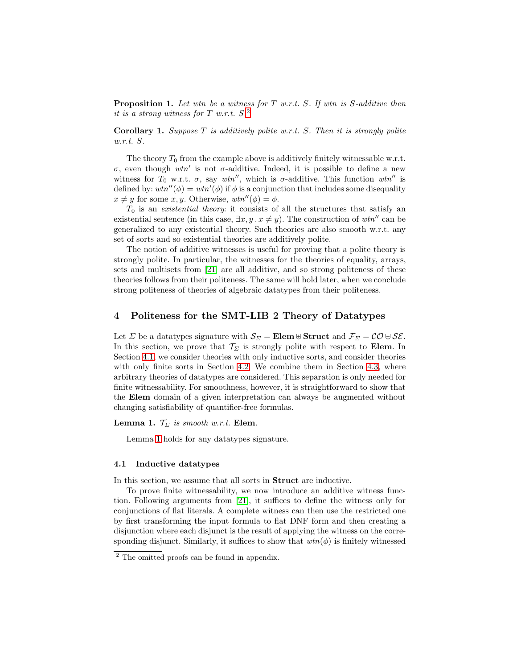**Proposition 1.** Let wtn be a witness for  $T$  w.r.t.  $S$ . If wtn is  $S$ -additive then it is a strong witness for T w.r.t. S. [2](#page-8-1)

<span id="page-8-4"></span>**Corollary 1.** Suppose T is additively polite w.r.t. S. Then it is strongly polite w.r.t. S.

The theory  $T_0$  from the example above is additively finitely witnessable w.r.t.  $\sigma$ , even though  $wtn'$  is not  $\sigma$ -additive. Indeed, it is possible to define a new witness for  $T_0$  w.r.t.  $\sigma$ , say wtn'', which is  $\sigma$ -additive. This function wtn'' is defined by:  $wtn''(\phi) = wtn'(\phi)$  if  $\phi$  is a conjunction that includes some disequality  $x \neq y$  for some x, y. Otherwise,  $wtn''(\phi) = \phi$ .

 $T_0$  is an *existential theory*: it consists of all the structures that satisfy an existential sentence (in this case,  $\exists x, y \ldots x \neq y$ ). The construction of wtn<sup>''</sup> can be generalized to any existential theory. Such theories are also smooth w.r.t. any set of sorts and so existential theories are additively polite.

The notion of additive witnesses is useful for proving that a polite theory is strongly polite. In particular, the witnesses for the theories of equality, arrays, sets and multisets from [21] are all additive, and so strong politeness of these theories follows from their politeness. The same will hold later, when we conclude strong politeness of theories of algebraic datatypes from their politeness.

# <span id="page-8-0"></span>4 Politeness for the SMT-LIB 2 Theory of Datatypes

Let  $\Sigma$  be a datatypes signature with  $\mathcal{S}_{\Sigma} = \mathbf{Elem} \cup \mathbf{Struct}$  and  $\mathcal{F}_{\Sigma} = \mathcal{CO} \cup \mathcal{SE}$ . In this section, we prove that  $\mathcal{T}_{\Sigma}$  is strongly polite with respect to **Elem**. In Section [4.1,](#page-8-2) we consider theories with only inductive sorts, and consider theories with only finite sorts in Section [4.2.](#page-12-0) We combine them in Section [4.3,](#page-13-1) where arbitrary theories of datatypes are considered. This separation is only needed for finite witnessability. For smoothness, however, it is straightforward to show that the Elem domain of a given interpretation can always be augmented without changing satisfiability of quantifier-free formulas.

#### **Lemma 1.**  $\mathcal{T}_{\Sigma}$  is smooth w.r.t. **Elem.**

<span id="page-8-3"></span>Lemma [1](#page-8-3) holds for any datatypes signature.

## <span id="page-8-2"></span>4.1 Inductive datatypes

In this section, we assume that all sorts in Struct are inductive.

To prove finite witnessability, we now introduce an additive witness function. Following arguments from [21], it suffices to define the witness only for conjunctions of flat literals. A complete witness can then use the restricted one by first transforming the input formula to flat DNF form and then creating a disjunction where each disjunct is the result of applying the witness on the corresponding disjunct. Similarly, it suffices to show that  $wtn(\phi)$  is finitely witnessed

<span id="page-8-1"></span><sup>2</sup> The omitted proofs can be found in appendix.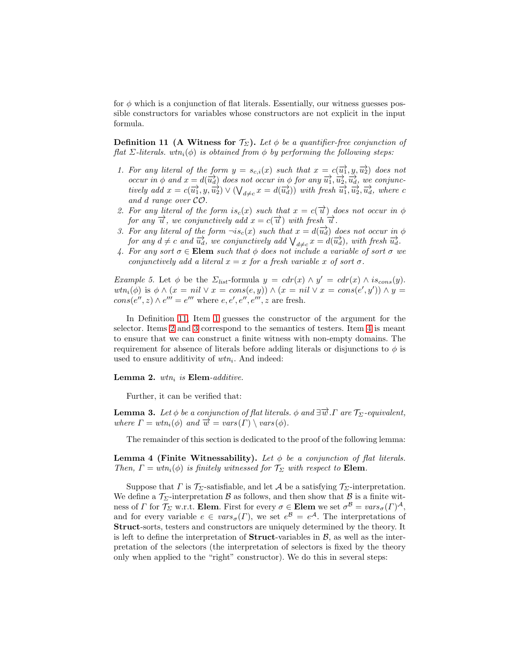<span id="page-9-0"></span>for  $\phi$  which is a conjunction of flat literals. Essentially, our witness guesses possible constructors for variables whose constructors are not explicit in the input formula.

**Definition 11 (A Witness for**  $\mathcal{T}_{\Sigma}$ **).** Let  $\phi$  be a quantifier-free conjunction of flat Σ-literals. wtn<sub>i</sub>( $\phi$ ) is obtained from  $\phi$  by performing the following steps:

- <span id="page-9-1"></span>1. For any literal of the form  $y = s_{c,i}(x)$  such that  $x = c(\overrightarrow{u_1}, y, \overrightarrow{u_2})$  does not occur in  $\phi$  and  $x = d(\overrightarrow{u_d})$  does not occur in  $\phi$  for any  $\overrightarrow{u_1}, \overrightarrow{u_2}, \overrightarrow{u_d},$  we conjunctively add  $x = c(\overrightarrow{u_1}, y, \overrightarrow{u_2}) \vee (\bigvee_{d \neq c} x = d(\overrightarrow{u_d}))$  with fresh  $\overrightarrow{u_1}, \overrightarrow{u_2}, \overrightarrow{u_d}$ , where c and d range over CO.
- <span id="page-9-2"></span>2. For any literal of the form  $is_c(x)$  such that  $x = c(\vec{u})$  does not occur in  $\phi$ for any  $\overrightarrow{u}$ , we conjunctively add  $x = c(\overrightarrow{u})$  with fresh  $\overrightarrow{u}$ .
- <span id="page-9-3"></span>3. For any literal of the form  $\neg is_c(x)$  such that  $x = d(\overrightarrow{u_d})$  does not occur in  $\phi$ for any  $d \neq c$  and  $\overrightarrow{u_d}$ , we conjunctively add  $\bigvee_{d \neq c} x = d(\overrightarrow{u_d})$ , with fresh  $\overrightarrow{u_d}$ .
- <span id="page-9-4"></span>4. For any sort  $\sigma \in \mathbf{Elem}$  such that  $\phi$  does not include a variable of sort  $\sigma$  we conjunctively add a literal  $x = x$  for a fresh variable x of sort  $\sigma$ .

Example 5. Let  $\phi$  be the  $\Sigma_{list}$ -formula  $y = cdr(x) \wedge y' = cdr(x) \wedge is_{cons}(y)$ .  $wtn_i(\phi)$  is  $\phi \wedge (x = nil \vee x = cons(e, y)) \wedge (x = nil \vee x = cons(e', y')) \wedge y =$  $cons(e'', z) \wedge e''' = e'''$  where  $e, e', e'', e''', z$  are fresh.

In Definition [11,](#page-9-0) Item [1](#page-9-1) guesses the constructor of the argument for the selector. Items [2](#page-9-2) and [3](#page-9-3) correspond to the semantics of testers. Item [4](#page-9-4) is meant to ensure that we can construct a finite witness with non-empty domains. The requirement for absence of literals before adding literals or disjunctions to  $\phi$  is used to ensure additivity of  $wtn_i$ . And indeed:

<span id="page-9-6"></span>Lemma 2.  $wtn_i$  is Elem-additive.

<span id="page-9-7"></span>Further, it can be verified that:

**Lemma 3.** Let  $\phi$  be a conjunction of flat literals.  $\phi$  and  $\exists \overrightarrow{u}$ .  $\Gamma$  are  $\mathcal{T}_{\Sigma}$ -equivalent, where  $\Gamma = wtn_i(\phi)$  and  $\overrightarrow{w} = vars(\Gamma) \setminus vars(\phi)$ .

<span id="page-9-5"></span>The remainder of this section is dedicated to the proof of the following lemma:

Lemma 4 (Finite Witnessability). Let  $\phi$  be a conjunction of flat literals. Then,  $\Gamma = wtn_i(\phi)$  is finitely witnessed for  $\mathcal{T}_{\Sigma}$  with respect to **Elem**.

Suppose that  $\Gamma$  is  $\mathcal{T}_{\Sigma}$ -satisfiable, and let  $\mathcal A$  be a satisfying  $\mathcal{T}_{\Sigma}$ -interpretation. We define a  $\mathcal{T}_{\Sigma}$ -interpretation  $\mathcal{B}$  as follows, and then show that  $\mathcal{B}$  is a finite witness of  $\Gamma$  for  $\mathcal{T}_{\Sigma}$  w.r.t. Elem. First for every  $\sigma \in$  Elem we set  $\sigma^{\mathcal{B}} = vars_{\sigma}(\Gamma)^{\mathcal{A}},$ and for every variable  $e \in vars_{\sigma}(\Gamma)$ , we set  $e^{\mathcal{B}} = e^{\mathcal{A}}$ . The interpretations of Struct-sorts, testers and constructors are uniquely determined by the theory. It is left to define the interpretation of **Struct**-variables in  $\mathcal{B}$ , as well as the interpretation of the selectors (the interpretation of selectors is fixed by the theory only when applied to the "right" constructor). We do this in several steps: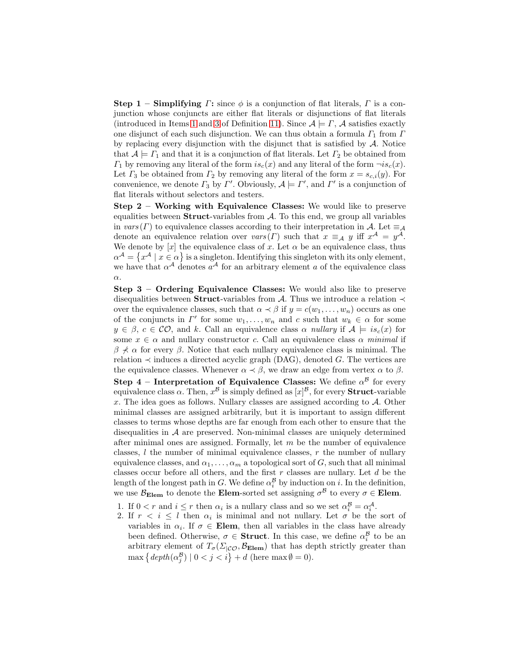**Step 1 – Simplifying**  $\Gamma$ : since  $\phi$  is a conjunction of flat literals,  $\Gamma$  is a conjunction whose conjuncts are either flat literals or disjunctions of flat literals (introduced in Items [1](#page-9-1) and [3](#page-9-3) of Definition [11\)](#page-9-0). Since  $A \models \Gamma$ , A satisfies exactly one disjunct of each such disjunction. We can thus obtain a formula  $\Gamma_1$  from  $\Gamma$ by replacing every disjunction with the disjunct that is satisfied by  $A$ . Notice that  $A \models \Gamma_1$  and that it is a conjunction of flat literals. Let  $\Gamma_2$  be obtained from  $\Gamma_1$  by removing any literal of the form  $is_c(x)$  and any literal of the form  $\neg is_c(x)$ . Let  $\Gamma_3$  be obtained from  $\Gamma_2$  by removing any literal of the form  $x = s_{c,i}(y)$ . For convenience, we denote  $\Gamma_3$  by  $\Gamma'$ . Obviously,  $\mathcal{A} \models \Gamma'$ , and  $\Gamma'$  is a conjunction of flat literals without selectors and testers.

Step 2 – Working with Equivalence Classes: We would like to preserve equalities between **Struct**-variables from  $A$ . To this end, we group all variables in vars (Γ) to equivalence classes according to their interpretation in A. Let  $\equiv_{\mathcal{A}}$ denote an equivalence relation over  $vars(\Gamma)$  such that  $x \equiv_A y$  iff  $x^A = y^A$ . We denote by [x] the equivalence class of x. Let  $\alpha$  be an equivalence class, thus  $\alpha^{\mathcal{A}} = \{x^{\mathcal{A}} \mid x \in \alpha\}$  is a singleton. Identifying this singleton with its only element, we have that  $\alpha^{\mathcal{A}}$  denotes  $\alpha^{\mathcal{A}}$  for an arbitrary element a of the equivalence class α.

Step 3 – Ordering Equivalence Classes: We would also like to preserve disequalities between **Struct**-variables from A. Thus we introduce a relation  $\prec$ over the equivalence classes, such that  $\alpha \prec \beta$  if  $y = c(w_1, \ldots, w_n)$  occurs as one of the conjuncts in  $\Gamma'$  for some  $w_1, \ldots, w_n$  and c such that  $w_k \in \alpha$  for some  $y \in \beta$ ,  $c \in \mathcal{CO}$ , and k. Call an equivalence class  $\alpha$  nullary if  $\mathcal{A} \models is_c(x)$  for some  $x \in \alpha$  and nullary constructor c. Call an equivalence class  $\alpha$  minimal if  $\beta \nless \alpha$  for every  $\beta$ . Notice that each nullary equivalence class is minimal. The relation  $\prec$  induces a directed acyclic graph (DAG), denoted G. The vertices are the equivalence classes. Whenever  $\alpha \prec \beta$ , we draw an edge from vertex  $\alpha$  to  $\beta$ .

Step 4 – Interpretation of Equivalence Classes: We define  $\alpha^{\mathcal{B}}$  for every equivalence class  $\alpha$ . Then,  $x^{\mathcal{B}}$  is simply defined as  $[x]^{\mathcal{B}},$  for every **Struct**-variable x. The idea goes as follows. Nullary classes are assigned according to A. Other minimal classes are assigned arbitrarily, but it is important to assign different classes to terms whose depths are far enough from each other to ensure that the disequalities in  $A$  are preserved. Non-minimal classes are uniquely determined after minimal ones are assigned. Formally, let  $m$  be the number of equivalence classes,  $l$  the number of minimal equivalence classes,  $r$  the number of nullary equivalence classes, and  $\alpha_1, \ldots, \alpha_m$  a topological sort of G, such that all minimal classes occur before all others, and the first  $r$  classes are nullary. Let  $d$  be the length of the longest path in G. We define  $\alpha_i^{\mathcal{B}}$  by induction on i. In the definition, we use  $\mathcal{B}_{\text{Element}}$  to denote the **Elem**-sorted set assigning  $\sigma^{\mathcal{B}}$  to every  $\sigma \in \text{Element}$ .

- 1. If  $0 < r$  and  $i \leq r$  then  $\alpha_i$  is a nullary class and so we set  $\alpha_i^{\mathcal{B}} = \alpha_i^{\mathcal{A}}$ .
- 2. If  $r < i \leq l$  then  $\alpha_i$  is minimal and not nullary. Let  $\sigma$  be the sort of variables in  $\alpha_i$ . If  $\sigma \in \mathbf{Elem}$ , then all variables in the class have already been defined. Otherwise,  $\sigma \in$  Struct. In this case, we define  $\alpha_i^{\mathcal{B}}$  to be an arbitrary element of  $T_{\sigma}(\Sigma_{|\mathcal{CO}}, \mathcal{B}_{\text{Elem}})$  that has depth strictly greater than  $\max \left\{ \frac{depth(\alpha_j^{\mathcal{B}}) \mid 0 < j < i \right\} + d \text{ (here } \max \emptyset = 0).$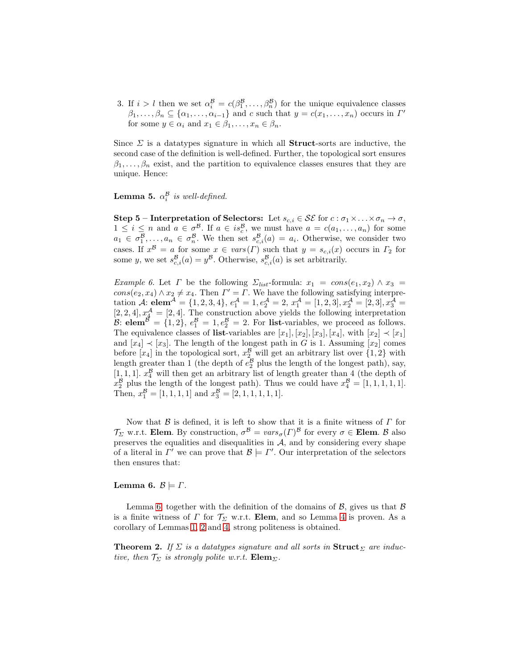3. If  $i > l$  then we set  $\alpha_i^{\mathcal{B}} = c(\beta_1^{\mathcal{B}}, \dots, \beta_n^{\mathcal{B}})$  for the unique equivalence classes  $\beta_1, \ldots, \beta_n \subseteq {\alpha_1, \ldots, \alpha_{i-1}}$  and c such that  $y = c(x_1, \ldots, x_n)$  occurs in  $\Gamma'$ for some  $y \in \alpha_i$  and  $x_1 \in \beta_1, \ldots, x_n \in \beta_n$ .

Since  $\Sigma$  is a datatypes signature in which all **Struct**-sorts are inductive, the second case of the definition is well-defined. Further, the topological sort ensures  $\beta_1, \ldots, \beta_n$  exist, and the partition to equivalence classes ensures that they are unique. Hence:

<span id="page-11-2"></span>**Lemma 5.**  $\alpha_i^{\mathcal{B}}$  is well-defined.

Step 5 – Interpretation of Selectors: Let  $s_{c,i} \in \mathcal{SE}$  for  $c : \sigma_1 \times \ldots \times \sigma_n \to \sigma$ ,  $1 \leq i \leq n$  and  $a \in \sigma^{\mathcal{B}}$ . If  $a \in is_{c}^{\mathcal{B}}$ , we must have  $a = c(a_1, \ldots, a_n)$  for some  $a_1 \in \sigma_1^{\mathcal{B}}, \ldots, a_n \in \sigma_n^{\mathcal{B}}$ . We then set  $s_{c,i}^{\mathcal{B}}(a) = a_i$ . Otherwise, we consider two cases. If  $x^{\mathcal{B}} = a$  for some  $x \in vars(\Gamma)$  such that  $y = s_{c,i}(x)$  occurs in  $\Gamma_2$  for some y, we set  $s_{c,i}^{\mathcal{B}}(a) = y^{\mathcal{B}}$ . Otherwise,  $s_{c,i}^{\mathcal{B}}(a)$  is set arbitrarily.

Example 6. Let  $\Gamma$  be the following  $\Sigma_{list}$ -formula:  $x_1 = cons(e_1, x_2) \wedge x_3 =$  $cons(e_2, x_4) \wedge x_2 \neq x_4$ . Then  $\Gamma' = \Gamma$ . We have the following satisfying interpretation A:  $\text{elem}^{\mathcal{A}} = \{1, 2, 3, 4\}, e_1^{\mathcal{A}} = 1, e_2^{\mathcal{A}} = 2, x_1^{\mathcal{A}} = [1, 2, 3], x_2^{\mathcal{A}} = [2, 3], x_3^{\mathcal{A}} =$  $[2, 2, 4], x_4^{\mathcal{A}} = [2, 4].$  The construction above yields the following interpretation B: **elem**<sup>B</sup> = {1, 2},  $e_1^B = 1, e_2^B = 2$ . For **list**-variables, we proceed as follows. The equivalence classes of list-variables are  $[x_1], [x_2], [x_3], [x_4],$  with  $[x_2] \prec [x_1]$ and  $[x_4] \prec [x_3]$ . The length of the longest path in G is 1. Assuming  $[x_2]$  comes before  $[x_4]$  in the topological sort,  $x_2^{\mathcal{B}}$  will get an arbitrary list over  $\{1,2\}$  with length greater than 1 (the depth of  $e_2^B$  plus the length of the longest path), say, [1, 1, 1].  $x_4^B$  will then get an arbitrary list of length greater than 4 (the depth of  $x_2^{\mathcal{B}}$  plus the length of the longest path). Thus we could have  $x_4^{\mathcal{B}} = [1, 1, 1, 1, 1].$ Then,  $x_1^{\mathcal{B}} = [1, 1, 1, 1]$  and  $x_3^{\mathcal{B}} = [2, 1, 1, 1, 1, 1].$ 

Now that  $\beta$  is defined, it is left to show that it is a finite witness of  $\Gamma$  for  $\mathcal{T}_{\Sigma}$  w.r.t. Elem. By construction,  $\sigma^{\mathcal{B}} = vars_{\sigma}(\Gamma)^{\mathcal{B}}$  for every  $\sigma \in$  Elem.  $\mathcal{B}$  also preserves the equalities and disequalities in  $A$ , and by considering every shape of a literal in  $\Gamma'$  we can prove that  $\mathcal{B} \models \Gamma'$ . Our interpretation of the selectors then ensures that:

#### <span id="page-11-0"></span>Lemma 6.  $\mathcal{B} \models \Gamma$ .

<span id="page-11-1"></span>Lemma [6,](#page-11-0) together with the definition of the domains of  $\beta$ , gives us that  $\beta$ is a finite witness of  $\Gamma$  for  $\mathcal{T}_{\Sigma}$  w.r.t. Elem, and so Lemma [4](#page-9-5) is proven. As a corollary of Lemmas [1,](#page-8-3) [2](#page-9-6) and [4,](#page-9-5) strong politeness is obtained.

**Theorem 2.** If  $\Sigma$  is a datatypes signature and all sorts in  $\textbf{Struct}_{\Sigma}$  are inductive, then  $\mathcal{T}_{\Sigma}$  is strongly polite w.r.t. **Elem**<sub> $\Sigma$ </sub>.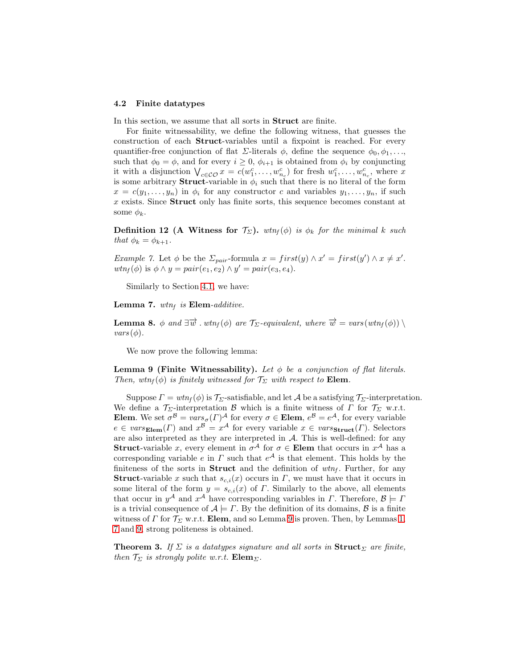#### <span id="page-12-0"></span>4.2 Finite datatypes

In this section, we assume that all sorts in Struct are finite.

For finite witnessability, we define the following witness, that guesses the construction of each Struct-variables until a fixpoint is reached. For every quantifier-free conjunction of flat  $\Sigma$ -literals  $\phi$ , define the sequence  $\phi_0, \phi_1, \ldots,$ such that  $\phi_0 = \phi$ , and for every  $i \geq 0$ ,  $\phi_{i+1}$  is obtained from  $\phi_i$  by conjuncting it with a disjunction  $\bigvee_{c \in \mathcal{CO}} x = c(w_1^c, \ldots, w_{n_c}^c)$  for fresh  $w_1^c, \ldots, w_{n_c}^c$ , where x is some arbitrary **Struct**-variable in  $\phi_i$  such that there is no literal of the form  $x = c(y_1, \ldots, y_n)$  in  $\phi_i$  for any constructor c and variables  $y_1, \ldots, y_n$ , if such  $x$  exists. Since **Struct** only has finite sorts, this sequence becomes constant at some  $\phi_k$ .

<span id="page-12-4"></span>**Definition 12 (A Witness for**  $\mathcal{T}_{\Sigma}$ **).** wtn<sub>f</sub>( $\phi$ ) is  $\phi_k$  for the minimal k such that  $\phi_k = \phi_{k+1}$ .

*Example 7.* Let  $\phi$  be the  $\Sigma_{pair}$ -formula  $x = first(y) \wedge x' = first(y') \wedge x \neq x'$ .  $wtn_f(\phi)$  is  $\phi \wedge y = pair(e_1, e_2) \wedge y' = pair(e_3, e_4)$ .

<span id="page-12-2"></span>Similarly to Section [4.1,](#page-8-2) we have:

Lemma 7.  $wtn_f$  is Elem-additive.

**Lemma 8.**  $\phi$  and  $\exists \overrightarrow{w}$  . wtn<sub>f</sub>( $\phi$ ) are  $\mathcal{T}_{\Sigma}$ -equivalent, where  $\overrightarrow{w} = vars(wtn_f(\phi)) \setminus$  $vars(\phi)$ .

<span id="page-12-1"></span>We now prove the following lemma:

**Lemma 9 (Finite Witnessability).** Let  $\phi$  be a conjunction of flat literals. Then, wtn<sub>f</sub>( $\phi$ ) is finitely witnessed for  $\mathcal{T}_{\Sigma}$  with respect to **Elem**.

Suppose  $\Gamma = wtn_f(\phi)$  is  $\mathcal{T}_{\Sigma}$ -satisfiable, and let A be a satisfying  $\mathcal{T}_{\Sigma}$ -interpretation. We define a  $\mathcal{T}_{\Sigma}$ -interpretation B which is a finite witness of  $\Gamma$  for  $\mathcal{T}_{\Sigma}$  w.r.t. Elem. We set  $\sigma^B = vars_{\sigma}(\Gamma)^{\mathcal{A}}$  for every  $\sigma \in \textbf{Elem}, e^{\mathcal{B}} = e^{\mathcal{A}},$  for every variable  $e \in vars_{\text{Element}}(T)$  and  $x^B = x^A$  for every variable  $x \in vars_{\text{Struct}}(T)$ . Selectors are also interpreted as they are interpreted in  $A$ . This is well-defined: for any **Struct**-variable x, every element in  $\sigma^{\mathcal{A}}$  for  $\sigma \in \mathbf{Element}$  that occurs in  $x^{\mathcal{A}}$  has a corresponding variable e in  $\Gamma$  such that  $e^{\mathcal{A}}$  is that element. This holds by the finiteness of the sorts in **Struct** and the definition of  $wtn_f$ . Further, for any **Struct**-variable x such that  $s_{c,i}(x)$  occurs in  $\Gamma$ , we must have that it occurs in some literal of the form  $y = s_{c,i}(x)$  of  $\Gamma$ . Similarly to the above, all elements that occur in  $y^{\mathcal{A}}$  and  $x^{\mathcal{A}}$  have corresponding variables in  $\Gamma$ . Therefore,  $\mathcal{B} \models \Gamma$ is a trivial consequence of  $A \models \Gamma$ . By the definition of its domains,  $\beta$  is a finite witness of  $\Gamma$  for  $\mathcal{T}_{\Sigma}$  w.r.t. Elem, and so Lemma [9](#page-12-1) is proven. Then, by Lemmas [1,](#page-8-3) [7](#page-12-2) and [9,](#page-12-1) strong politeness is obtained.

<span id="page-12-3"></span>**Theorem 3.** If  $\Sigma$  is a datatypes signature and all sorts in  $\textbf{Struct}_{\Sigma}$  are finite, then  $\mathcal{T}_{\Sigma}$  is strongly polite w.r.t.  $\mathbf{Elem}_{\Sigma}$ .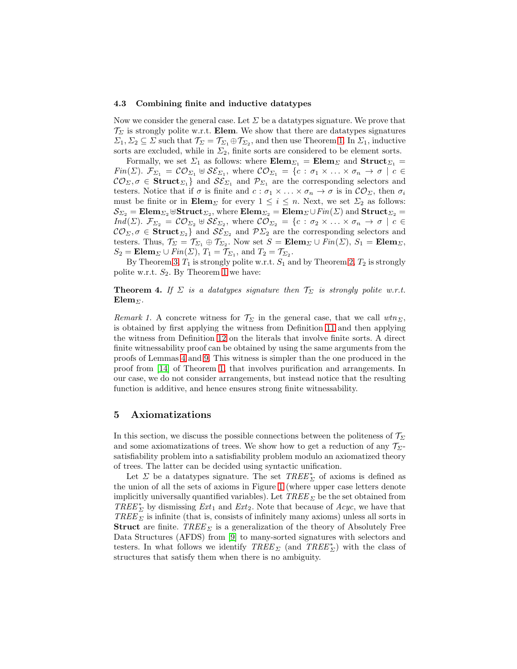#### <span id="page-13-1"></span>4.3 Combining finite and inductive datatypes

Now we consider the general case. Let  $\Sigma$  be a datatypes signature. We prove that  $\mathcal{T}_{\Sigma}$  is strongly polite w.r.t. Elem. We show that there are datatypes signatures  $\Sigma_1, \Sigma_2 \subseteq \Sigma$  such that  $\mathcal{T}_{\Sigma} = \mathcal{T}_{\Sigma_1} \oplus \mathcal{T}_{\Sigma_2}$ , and then use Theorem [1.](#page-7-1) In  $\Sigma_1$ , inductive sorts are excluded, while in  $\Sigma_2$ , finite sorts are considered to be element sorts.

Formally, we set  $\Sigma_1$  as follows: where  $\mathbf{Elem}_{\Sigma_1} = \mathbf{Elem}_{\Sigma}$  and  $\mathbf{Struct}_{\Sigma_1} =$  $Fin(\Sigma)$ .  $\mathcal{F}_{\Sigma_1} = \mathcal{CO}_{\Sigma_1} \oplus \mathcal{SE}_{\Sigma_1}$ , where  $\mathcal{CO}_{\Sigma_1} = \{c : \sigma_1 \times \ldots \times \sigma_n \to \sigma \mid c \in \Sigma_1\}$  $\mathcal{CO}_{\Sigma}, \sigma \in$  Struct<sub> $\Sigma_1$ </sub> and  $\mathcal{SE}_{\Sigma_1}$  and  $\mathcal{P}_{\Sigma_1}$  are the corresponding selectors and testers. Notice that if  $\sigma$  is finite and  $c : \sigma_1 \times ... \times \sigma_n \to \sigma$  is in  $\mathcal{CO}_{\Sigma}$ , then  $\sigma_i$ must be finite or in  $\mathbf{Elem}_{\Sigma}$  for every  $1 \leq i \leq n$ . Next, we set  $\Sigma_2$  as follows:  $\mathcal{S}_{\Sigma_2}=\mathbf{Elem}_{\Sigma_2}$  ⊎ $\mathbf{Struct}_{\Sigma_2},$  where  $\mathbf{Elem}_{\Sigma_2}=\mathbf{Elem}_{\Sigma}\cup Fin(\Sigma)$  and  $\mathbf{Struct}_{\Sigma_2}=$  $Ind(\Sigma)$ .  $\mathcal{F}_{\Sigma_2} = \mathcal{CO}_{\Sigma_2} \uplus \mathcal{SE}_{\Sigma_2}$ , where  $\mathcal{CO}_{\Sigma_2} = \{c : \sigma_2 \times \ldots \times \sigma_n \to \sigma \mid c \in \Sigma_2\}$  $\mathcal{CO}_{\Sigma}, \sigma \in$  Struct<sub> $\Sigma_2$ </sub> and  $\mathcal{SE}_{\Sigma_2}$  and  $\mathcal{P}\Sigma_2$  are the corresponding selectors and testers. Thus,  $\mathcal{T}_{\Sigma} = \mathcal{T}_{\Sigma_1} \oplus \mathcal{T}_{\Sigma_2}$ . Now set  $S = \mathbf{Elem}_{\Sigma} \cup Fin(\Sigma), S_1 = \mathbf{Elem}_{\Sigma},$  $S_2 = \mathbf{Elem}_{\Sigma} \cup Fin(\Sigma), T_1 = \mathcal{T}_{\Sigma_1}, \text{ and } T_2 = \mathcal{T}_{\Sigma_2}.$ 

By Theorem [3,](#page-12-3)  $T_1$  is strongly polite w.r.t.  $S_1$  and by Theorem [2,](#page-11-1)  $T_2$  is strongly polite w.r.t.  $S_2$ . By Theorem [1](#page-7-1) we have:

**Theorem 4.** If  $\Sigma$  is a datatypes signature then  $\mathcal{T}_{\Sigma}$  is strongly polite w.r.t.  $\mathbf{Elem}_{\Sigma}$ .

Remark 1. A concrete witness for  $\mathcal{T}_{\Sigma}$  in the general case, that we call wtn<sub> $\Sigma$ </sub>, is obtained by first applying the witness from Definition [11](#page-9-0) and then applying the witness from Definition [12](#page-12-4) on the literals that involve finite sorts. A direct finite witnessability proof can be obtained by using the same arguments from the proofs of Lemmas [4](#page-9-5) and [9.](#page-12-1) This witness is simpler than the one produced in the proof from [\[14\]](#page-16-1) of Theorem [1,](#page-7-1) that involves purification and arrangements. In our case, we do not consider arrangements, but instead notice that the resulting function is additive, and hence ensures strong finite witnessability.

# <span id="page-13-0"></span>5 Axiomatizations

In this section, we discuss the possible connections between the politeness of  $\mathcal{T}_{\Sigma}$ and some axiomatizations of trees. We show how to get a reduction of any  $\mathcal{T}_{\Sigma}$ satisfiability problem into a satisfiability problem modulo an axiomatized theory of trees. The latter can be decided using syntactic unification.

<span id="page-13-2"></span>Let  $\Sigma$  be a datatypes signature. The set  $\mathit{TREE}_{\Sigma}^*$  of axioms is defined as the union of all the sets of axioms in Figure [1](#page-14-0) (where upper case letters denote implicitly universally quantified variables). Let  $TREE_\Sigma$  be the set obtained from  $TREE^*_{\Sigma}$  by dismissing  $Ext_1$  and  $Ext_2$ . Note that because of  $Acyc$ , we have that  $TREE_\Sigma$  is infinite (that is, consists of infinitely many axioms) unless all sorts in **Struct** are finite. TREE  $\Sigma$  is a generalization of the theory of Absolutely Free Data Structures (AFDS) from [\[9\]](#page-16-2) to many-sorted signatures with selectors and testers. In what follows we identify  $\mathit{TREE}_{\Sigma}$  (and  $\mathit{TREE}^*_{\Sigma}$ ) with the class of structures that satisfy them when there is no ambiguity.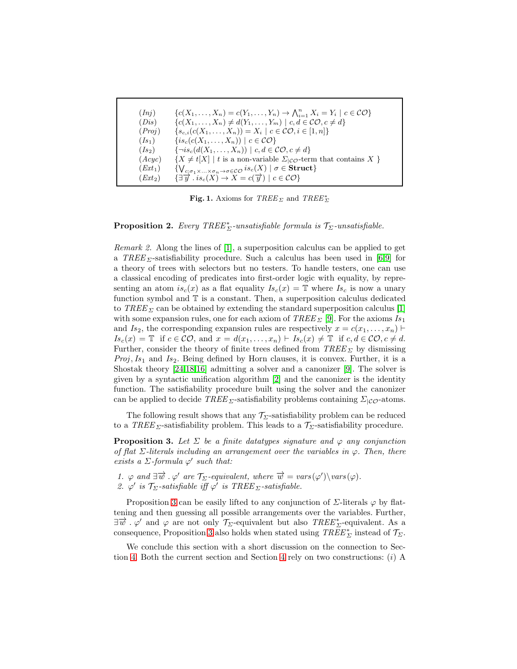| (Ini)     | ${c(X_1,\ldots,X_n)=c(Y_1,\ldots,Y_n)\rightarrow \bigwedge_{i=1}^n X_i=Y_i\mid c\in\mathcal{CO}}$                |
|-----------|------------------------------------------------------------------------------------------------------------------|
| (Dis)     | ${c(X_1,\ldots,X_n) \neq d(Y_1,\ldots,Y_m) \mid c,d \in \mathcal{CO}, c \neq d}$                                 |
| (Proj)    | $\{s_{c,i}(c(X_1,\ldots,X_n))=X_i\mid c\in\mathcal{CO}, i\in[1,n]\}\$                                            |
| $(Is_1)$  | $\{is_c(c(X_1,\ldots,X_n)) \mid c \in \mathcal{CO}\}\$                                                           |
| $(Is_2)$  | $\{\neg is_c(d(X_1,\ldots,X_n)) \mid c,d \in \mathcal{CO}, c \neq d\}$                                           |
| (Acyc)    | $\{X \neq t[X] \mid t \text{ is a non-variable } \Sigma_{ \mathcal{CO}}\text{-term that contains } X \}$         |
| $(Ext_1)$ | $\{\bigvee_{c:\sigma_1\times\ldots\times\sigma_n\to\sigma\in\mathcal{CO}}is_c(X)\mid\sigma\in\mathbf{Struct}\}\$ |
| $(Ext_2)$ | $\{\exists \overrightarrow{y} \cdot is_c(X) \rightarrow X = c(\overrightarrow{y}) \mid c \in \mathcal{CO}\}\$    |

<span id="page-14-0"></span>Fig. 1. Axioms for  $TREE_\Sigma$  and  $TREE_\Sigma^*$ 

**Proposition 2.** Every  $TREE^*_{\Sigma}$ -unsatisfiable formula is  $\mathcal{T}_{\Sigma}$ -unsatisfiable.

Remark 2. Along the lines of [1], a superposition calculus can be applied to get a TREE  $\Sigma$ -satisfiability procedure. Such a calculus has been used in [6[,9\]](#page-16-2) for a theory of trees with selectors but no testers. To handle testers, one can use a classical encoding of predicates into first-order logic with equality, by representing an atom  $is_c(x)$  as a flat equality  $Is_c(x) = \mathbb{T}$  where  $Is_c$  is now a unary function symbol and  $\mathbb T$  is a constant. Then, a superposition calculus dedicated to  $TREE_{\Sigma}$  can be obtained by extending the standard superposition calculus [1] with some expansion rules, one for each axiom of  $TREE_\Sigma$  [\[9\]](#page-16-2). For the axioms  $Is_1$ and Is<sub>2</sub>, the corresponding expansion rules are respectively  $x = c(x_1, \ldots, x_n)$  $Is_c(x) = \mathbb{T}$  if  $c \in \mathcal{CO}$ , and  $x = d(x_1, \ldots, x_n) \vdash Is_c(x) \neq \mathbb{T}$  if  $c, d \in \mathcal{CO}, c \neq d$ . Further, consider the theory of finite trees defined from  $TREE_\Sigma$  by dismissing *Proj*,  $Is_1$  and  $Is_2$ . Being defined by Horn clauses, it is convex. Further, it is a Shostak theory [24,18,16] admitting a solver and a canonizer [\[9\]](#page-16-2). The solver is given by a syntactic unification algorithm [2] and the canonizer is the identity function. The satisfiability procedure built using the solver and the canonizer can be applied to decide  $TREE_{\Sigma}$ -satisfiability problems containing  $\Sigma_{|C}\sigma$ -atoms.

<span id="page-14-1"></span>The following result shows that any  $\mathcal{T}_{\Sigma}$ -satisfiability problem can be reduced to a TREE  $\Sigma$ -satisfiability problem. This leads to a  $\mathcal{T}_{\Sigma}$ -satisfiability procedure.

**Proposition 3.** Let  $\Sigma$  be a finite datatypes signature and  $\varphi$  any conjunction of flat  $\Sigma$ -literals including an arrangement over the variables in  $\varphi$ . Then, there exists a  $\Sigma$ -formula  $\varphi'$  such that:

1.  $\varphi$  and  $\exists \overrightarrow{w} \cdot \varphi'$  are  $\mathcal{T}_{\Sigma}$ -equivalent, where  $\overrightarrow{w} = vars(\varphi')\varphi(x)$ . 2.  $\varphi'$  is  $\mathcal{T}_{\Sigma}$ -satisfiable iff  $\varphi'$  is TREE  $_{\Sigma}$ -satisfiable.

Proposition [3](#page-14-1) can be easily lifted to any conjunction of  $\Sigma$ -literals  $\varphi$  by flattening and then guessing all possible arrangements over the variables. Further,  $\exists \vec{w}$ .  $\varphi'$  and  $\varphi$  are not only  $\mathcal{T}_{\Sigma}$ -equivalent but also  $TREE_{\Sigma}^{*}$ -equivalent. As a consequence, Proposition [3](#page-14-1) also holds when stated using  $\mathit{TREE}^*_{\Sigma}$  instead of  $\mathcal{T}_{\Sigma}$ .

We conclude this section with a short discussion on the connection to Sec-tion [4.](#page-8-0) Both the current section and Section [4](#page-8-0) rely on two constructions:  $(i)$  A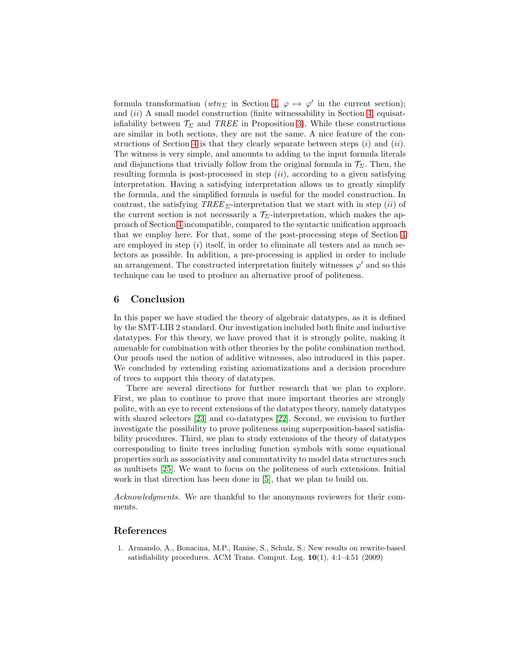formula transformation ( $wtn_{\Sigma}$  in Section [4,](#page-8-0)  $\varphi \mapsto \varphi'$  in the current section); and  $(ii)$  A small model construction (finite witnessability in Section [4,](#page-8-0) equisatisfiability between  $\mathcal{T}_{\Sigma}$  and TREE in Proposition [3\)](#page-14-1). While these constructions are similar in both sections, they are not the same. A nice feature of the con-structions of Section [4](#page-8-0) is that they clearly separate between steps  $(i)$  and  $(ii)$ . The witness is very simple, and amounts to adding to the input formula literals and disjunctions that trivially follow from the original formula in  $\mathcal{T}_{\Sigma}$ . Then, the resulting formula is post-processed in step  $(ii)$ , according to a given satisfying interpretation. Having a satisfying interpretation allows us to greatly simplify the formula, and the simplified formula is useful for the model construction. In contrast, the satisfying  $TREE \Sigma$ -interpretation that we start with in step (ii) of the current section is not necessarily a  $\mathcal{T}_{\Sigma}$ -interpretation, which makes the approach of Section [4](#page-8-0) incompatible, compared to the syntactic unification approach that we employ here. For that, some of the post-processing steps of Section [4](#page-8-0) are employed in step  $(i)$  itself, in order to eliminate all testers and as much selectors as possible. In addition, a pre-processing is applied in order to include an arrangement. The constructed interpretation finitely witnesses  $\varphi'$  and so this technique can be used to produce an alternative proof of politeness.

# <span id="page-15-0"></span>6 Conclusion

In this paper we have studied the theory of algebraic datatypes, as it is defined by the SMT-LIB 2 standard. Our investigation included both finite and inductive datatypes. For this theory, we have proved that it is strongly polite, making it amenable for combination with other theories by the polite combination method. Our proofs used the notion of additive witnesses, also introduced in this paper. We concluded by extending existing axiomatizations and a decision procedure of trees to support this theory of datatypes.

There are several directions for further research that we plan to explore. First, we plan to continue to prove that more important theories are strongly polite, with an eye to recent extensions of the datatypes theory, namely datatypes with shared selectors [23] and co-datatypes [22]. Second, we envision to further investigate the possibility to prove politeness using superposition-based satisfiability procedures. Third, we plan to study extensions of the theory of datatypes corresponding to finite trees including function symbols with some equational properties such as associativity and commutativity to model data structures such as multisets [25]. We want to focus on the politeness of such extensions. Initial work in that direction has been done in [\[5\]](#page-16-7), that we plan to build on.

Acknowledgments. We are thankful to the anonymous reviewers for their comments.

## References

1. Armando, A., Bonacina, M.P., Ranise, S., Schulz, S.: New results on rewrite-based satisfiability procedures. ACM Trans. Comput. Log.  $10(1)$ , 4:1-4:51 (2009)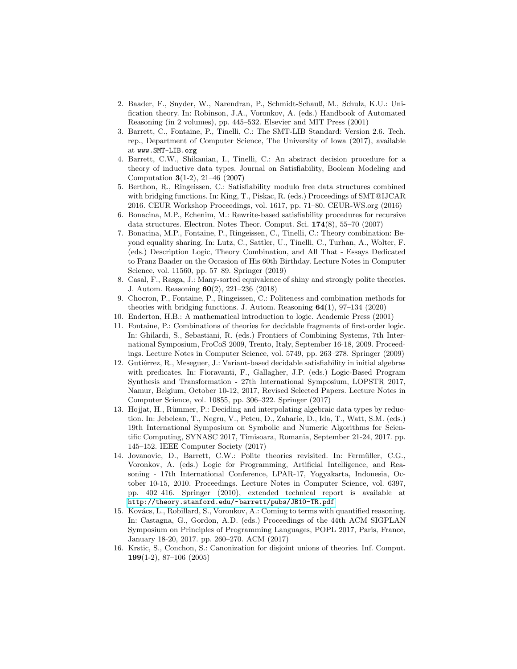- 2. Baader, F., Snyder, W., Narendran, P., Schmidt-Schauß, M., Schulz, K.U.: Unification theory. In: Robinson, J.A., Voronkov, A. (eds.) Handbook of Automated Reasoning (in 2 volumes), pp. 445–532. Elsevier and MIT Press (2001)
- <span id="page-16-3"></span>3. Barrett, C., Fontaine, P., Tinelli, C.: The SMT-LIB Standard: Version 2.6. Tech. rep., Department of Computer Science, The University of Iowa (2017), available at www.SMT-LIB.org
- <span id="page-16-0"></span>4. Barrett, C.W., Shikanian, I., Tinelli, C.: An abstract decision procedure for a theory of inductive data types. Journal on Satisfiability, Boolean Modeling and Computation 3(1-2), 21–46 (2007)
- <span id="page-16-7"></span>5. Berthon, R., Ringeissen, C.: Satisfiability modulo free data structures combined with bridging functions. In: King, T., Piskac, R. (eds.) Proceedings of SMT@IJCAR 2016. CEUR Workshop Proceedings, vol. 1617, pp. 71–80. CEUR-WS.org (2016)
- 6. Bonacina, M.P., Echenim, M.: Rewrite-based satisfiability procedures for recursive data structures. Electron. Notes Theor. Comput. Sci. 174(8), 55–70 (2007)
- 7. Bonacina, M.P., Fontaine, P., Ringeissen, C., Tinelli, C.: Theory combination: Beyond equality sharing. In: Lutz, C., Sattler, U., Tinelli, C., Turhan, A., Wolter, F. (eds.) Description Logic, Theory Combination, and All That - Essays Dedicated to Franz Baader on the Occasion of His 60th Birthday. Lecture Notes in Computer Science, vol. 11560, pp. 57–89. Springer (2019)
- <span id="page-16-5"></span>8. Casal, F., Rasga, J.: Many-sorted equivalence of shiny and strongly polite theories. J. Autom. Reasoning 60(2), 221–236 (2018)
- <span id="page-16-2"></span>9. Chocron, P., Fontaine, P., Ringeissen, C.: Politeness and combination methods for theories with bridging functions. J. Autom. Reasoning  $64(1)$ ,  $97-134$  (2020)
- <span id="page-16-6"></span>10. Enderton, H.B.: A mathematical introduction to logic. Academic Press (2001)
- 11. Fontaine, P.: Combinations of theories for decidable fragments of first-order logic. In: Ghilardi, S., Sebastiani, R. (eds.) Frontiers of Combining Systems, 7th International Symposium, FroCoS 2009, Trento, Italy, September 16-18, 2009. Proceedings. Lecture Notes in Computer Science, vol. 5749, pp. 263–278. Springer (2009)
- 12. Gutiérrez, R., Meseguer, J.: Variant-based decidable satisfiability in initial algebras with predicates. In: Fioravanti, F., Gallagher, J.P. (eds.) Logic-Based Program Synthesis and Transformation - 27th International Symposium, LOPSTR 2017, Namur, Belgium, October 10-12, 2017, Revised Selected Papers. Lecture Notes in Computer Science, vol. 10855, pp. 306–322. Springer (2017)
- <span id="page-16-4"></span>13. Hojjat, H., Rümmer, P.: Deciding and interpolating algebraic data types by reduction. In: Jebelean, T., Negru, V., Petcu, D., Zaharie, D., Ida, T., Watt, S.M. (eds.) 19th International Symposium on Symbolic and Numeric Algorithms for Scientific Computing, SYNASC 2017, Timisoara, Romania, September 21-24, 2017. pp. 145–152. IEEE Computer Society (2017)
- <span id="page-16-1"></span>14. Jovanovic, D., Barrett, C.W.: Polite theories revisited. In: Fermüller, C.G., Voronkov, A. (eds.) Logic for Programming, Artificial Intelligence, and Reasoning - 17th International Conference, LPAR-17, Yogyakarta, Indonesia, October 10-15, 2010. Proceedings. Lecture Notes in Computer Science, vol. 6397, pp. 402–416. Springer (2010), extended technical report is available at <http://theory.stanford.edu/~barrett/pubs/JB10-TR.pdf>
- 15. Kovács, L., Robillard, S., Voronkov, A.: Coming to terms with quantified reasoning. In: Castagna, G., Gordon, A.D. (eds.) Proceedings of the 44th ACM SIGPLAN Symposium on Principles of Programming Languages, POPL 2017, Paris, France, January 18-20, 2017. pp. 260–270. ACM (2017)
- 16. Krstic, S., Conchon, S.: Canonization for disjoint unions of theories. Inf. Comput. 199(1-2), 87–106 (2005)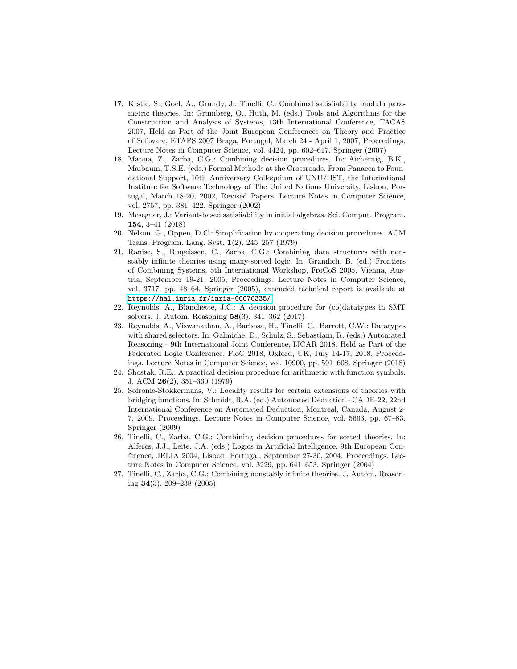- 17. Krstic, S., Goel, A., Grundy, J., Tinelli, C.: Combined satisfiability modulo parametric theories. In: Grumberg, O., Huth, M. (eds.) Tools and Algorithms for the Construction and Analysis of Systems, 13th International Conference, TACAS 2007, Held as Part of the Joint European Conferences on Theory and Practice of Software, ETAPS 2007 Braga, Portugal, March 24 - April 1, 2007, Proceedings. Lecture Notes in Computer Science, vol. 4424, pp. 602–617. Springer (2007)
- 18. Manna, Z., Zarba, C.G.: Combining decision procedures. In: Aichernig, B.K., Maibaum, T.S.E. (eds.) Formal Methods at the Crossroads. From Panacea to Foundational Support, 10th Anniversary Colloquium of UNU/IIST, the International Institute for Software Technology of The United Nations University, Lisbon, Portugal, March 18-20, 2002, Revised Papers. Lecture Notes in Computer Science, vol. 2757, pp. 381–422. Springer (2002)
- 19. Meseguer, J.: Variant-based satisfiability in initial algebras. Sci. Comput. Program. 154, 3–41 (2018)
- 20. Nelson, G., Oppen, D.C.: Simplification by cooperating decision procedures. ACM Trans. Program. Lang. Syst. 1(2), 245–257 (1979)
- 21. Ranise, S., Ringeissen, C., Zarba, C.G.: Combining data structures with nonstably infinite theories using many-sorted logic. In: Gramlich, B. (ed.) Frontiers of Combining Systems, 5th International Workshop, FroCoS 2005, Vienna, Austria, September 19-21, 2005, Proceedings. Lecture Notes in Computer Science, vol. 3717, pp. 48–64. Springer (2005), extended technical report is available at <https://hal.inria.fr/inria-00070335/>
- 22. Reynolds, A., Blanchette, J.C.: A decision procedure for (co)datatypes in SMT solvers. J. Autom. Reasoning 58(3), 341–362 (2017)
- 23. Reynolds, A., Viswanathan, A., Barbosa, H., Tinelli, C., Barrett, C.W.: Datatypes with shared selectors. In: Galmiche, D., Schulz, S., Sebastiani, R. (eds.) Automated Reasoning - 9th International Joint Conference, IJCAR 2018, Held as Part of the Federated Logic Conference, FloC 2018, Oxford, UK, July 14-17, 2018, Proceedings. Lecture Notes in Computer Science, vol. 10900, pp. 591–608. Springer (2018)
- 24. Shostak, R.E.: A practical decision procedure for arithmetic with function symbols. J. ACM 26(2), 351–360 (1979)
- 25. Sofronie-Stokkermans, V.: Locality results for certain extensions of theories with bridging functions. In: Schmidt, R.A. (ed.) Automated Deduction - CADE-22, 22nd International Conference on Automated Deduction, Montreal, Canada, August 2- 7, 2009. Proceedings. Lecture Notes in Computer Science, vol. 5663, pp. 67–83. Springer (2009)
- 26. Tinelli, C., Zarba, C.G.: Combining decision procedures for sorted theories. In: Alferes, J.J., Leite, J.A. (eds.) Logics in Artificial Intelligence, 9th European Conference, JELIA 2004, Lisbon, Portugal, September 27-30, 2004, Proceedings. Lecture Notes in Computer Science, vol. 3229, pp. 641–653. Springer (2004)
- 27. Tinelli, C., Zarba, C.G.: Combining nonstably infinite theories. J. Autom. Reasoning 34(3), 209–238 (2005)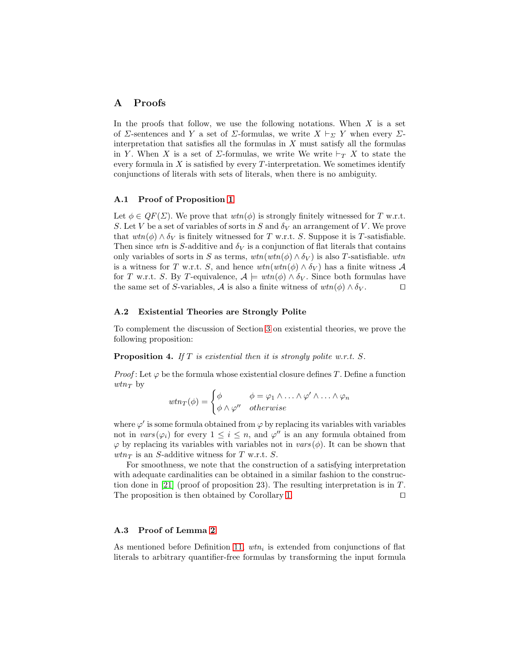## A Proofs

In the proofs that follow, we use the following notations. When  $X$  is a set of  $\Sigma$ -sentences and Y a set of  $\Sigma$ -formulas, we write  $X \vdash_{\Sigma} Y$  when every  $\Sigma$ interpretation that satisfies all the formulas in  $X$  must satisfy all the formulas in Y. When X is a set of  $\Sigma$ -formulas, we write We write  $\vdash_T X$  to state the every formula in  $X$  is satisfied by every T-interpretation. We sometimes identify conjunctions of literals with sets of literals, when there is no ambiguity.

## A.1 Proof of Proposition [1](#page-7-2)

Let  $\phi \in QF(\Sigma)$ . We prove that  $wtn(\phi)$  is strongly finitely witnessed for T w.r.t. S. Let V be a set of variables of sorts in S and  $\delta_V$  an arrangement of V. We prove that  $wtn(\phi) \wedge \delta_V$  is finitely witnessed for T w.r.t. S. Suppose it is T-satisfiable. Then since wtn is S-additive and  $\delta_V$  is a conjunction of flat literals that contains only variables of sorts in S as terms,  $wtn(wtn(\phi) \wedge \delta_V)$  is also T-satisfiable. wtn is a witness for T w.r.t. S, and hence  $wtn(wtn(\phi) \wedge \delta_V)$  has a finite witness A for T w.r.t. S. By T-equivalence,  $A \models \text{wtn}(\phi) \land \delta_V$ . Since both formulas have the same set of S-variables, A is also a finite witness of  $wtn(\phi) \wedge \delta_V$ . □

### A.2 Existential Theories are Strongly Polite

To complement the discussion of Section [3](#page-7-0) on existential theories, we prove the following proposition:

**Proposition 4.** If  $T$  is existential then it is strongly polite w.r.t.  $S$ .

*Proof*: Let  $\varphi$  be the formula whose existential closure defines T. Define a function  $wtn_T$  by

$$
wtn_T(\phi) = \begin{cases} \phi & \phi = \varphi_1 \wedge \ldots \wedge \varphi' \wedge \ldots \wedge \varphi_n \\ \phi \wedge \varphi'' & otherwise \end{cases}
$$

where  $\varphi'$  is some formula obtained from  $\varphi$  by replacing its variables with variables not in  $vars(\varphi_i)$  for every  $1 \leq i \leq n$ , and  $\varphi''$  is an any formula obtained from  $\varphi$  by replacing its variables with variables not in  $vars(\phi)$ . It can be shown that  $wtn_T$  is an S-additive witness for T w.r.t. S.

For smoothness, we note that the construction of a satisfying interpretation with adequate cardinalities can be obtained in a similar fashion to the construction done in [21] (proof of proposition 23). The resulting interpretation is in  $T$ . The proposition is then obtained by Corollary [1.](#page-8-4) □

## A.3 Proof of Lemma [2](#page-9-6)

As mentioned before Definition [11,](#page-9-0)  $wtn_i$  is extended from conjunctions of flat literals to arbitrary quantifier-free formulas by transforming the input formula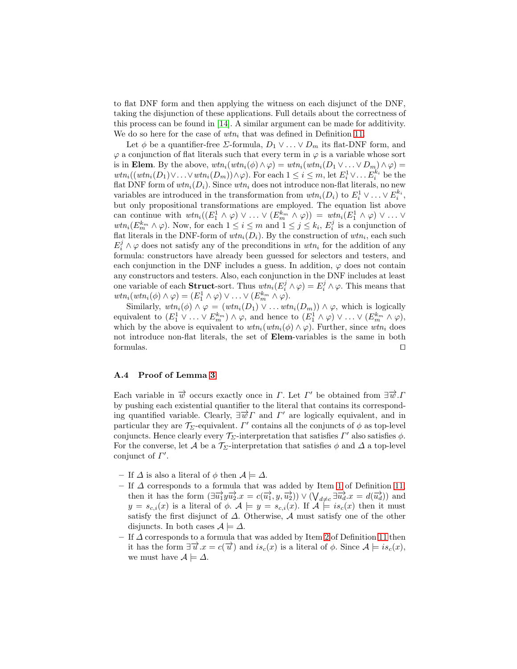to flat DNF form and then applying the witness on each disjunct of the DNF, taking the disjunction of these applications. Full details about the correctness of this process can be found in [\[14\]](#page-16-1). A similar argument can be made for additivity. We do so here for the case of  $wtn_i$  that was defined in Definition [11.](#page-9-0)

Let  $\phi$  be a quantifier-free *Σ*-formula,  $D_1 \vee \ldots \vee D_m$  its flat-DNF form, and  $\varphi$  a conjunction of flat literals such that every term in  $\varphi$  is a variable whose sort is in Elem. By the above,  $wtn_i(wtn_i(\phi) \wedge \varphi) = wtn_i(wtn_i(D_1 \vee \ldots \vee D_m) \wedge \varphi) =$  $wtn_i((wtn_i(D_1)\vee \ldots \vee wtn_i(D_m))\wedge \varphi)$ . For each  $1 \leq i \leq m$ , let  $E_i^1 \vee \ldots E_i^{k_i}$  be the flat DNF form of  $wtn_i(D_i)$ . Since  $wtn_i$  does not introduce non-flat literals, no new variables are introduced in the transformation from  $wtn_i(D_i)$  to  $E_i^1 \vee \ldots \vee E_i^{k_i}$ , but only propositional transformations are employed. The equation list above can continue with  $wtn_i((E_1^1 \wedge \varphi) \vee ... \vee (E_m^{k_m} \wedge \varphi)) = wtn_i(E_1^1 \wedge \varphi) \vee ... \vee$  $wtn_i(E_m^{k_m} \wedge \varphi)$ . Now, for each  $1 \leq i \leq m$  and  $1 \leq j \leq k_i$ ,  $E_i^j$  is a conjunction of flat literals in the DNF-form of  $wtn_i(D_i)$ . By the construction of  $wtn_i$ , each such  $E_i^j \wedge \varphi$  does not satisfy any of the preconditions in  $wtn_i$  for the addition of any formula: constructors have already been guessed for selectors and testers, and each conjunction in the DNF includes a guess. In addition,  $\varphi$  does not contain any constructors and testers. Also, each conjunction in the DNF includes at least one variable of each **Struct**-sort. Thus  $wtn_i(E_i^j \wedge \varphi) = E_i^j \wedge \varphi$ . This means that  $wtn_i(wtn_i(\phi) \wedge \varphi) = (E_1^1 \wedge \varphi) \vee \ldots \vee (E_m^{k_m} \wedge \varphi).$ 

Similarly,  $wtn_i(\phi) \wedge \varphi = (wtn_i(D_1) \vee ... wtn_i(D_m)) \wedge \varphi$ , which is logically equivalent to  $(E_1^1 \vee \ldots \vee E_m^{k_m}) \wedge \varphi$ , and hence to  $(E_1^1 \wedge \varphi) \vee \ldots \vee (E_m^{k_m} \wedge \varphi)$ , which by the above is equivalent to  $wtn_i(wtn_i(\phi) \wedge \varphi)$ . Further, since  $wtn_i$  does not introduce non-flat literals, the set of Elem-variables is the same in both formulas. ⊓⊔

# A.4 Proof of Lemma [3](#page-9-7)

Each variable in  $\overrightarrow{w}$  occurs exactly once in  $\Gamma$ . Let  $\Gamma'$  be obtained from  $\exists \overrightarrow{w}$ . by pushing each existential quantifier to the literal that contains its corresponding quantified variable. Clearly,  $\exists \vec{w} \Gamma$  and  $\Gamma'$  are logically equivalent, and in particular they are  $\mathcal{T}_{\Sigma}$ -equivalent.  $\Gamma'$  contains all the conjuncts of  $\phi$  as top-level conjuncts. Hence clearly every  $\mathcal{T}_{\Sigma}$ -interpretation that satisfies  $\Gamma'$  also satisfies  $\phi$ . For the converse, let A be a  $\mathcal{T}_{\Sigma}$ -interpretation that satisfies  $\phi$  and  $\Delta$  a top-level conjunct of  $\Gamma'$ .

- If  $\Delta$  is also a literal of  $\phi$  then  $\mathcal{A} \models \Delta$ .
- If  $\Delta$  corresponds to a formula that was added by Item [1](#page-9-1) of Definition [11,](#page-9-0) then it has the form  $(\exists \overrightarrow{u_1} y \overrightarrow{u_2} . x = c(\overrightarrow{u_1}, y, \overrightarrow{u_2})) \vee (\bigvee_{d \neq c} \exists \overrightarrow{u_d} . x = d(\overrightarrow{u_d}))$  and  $y = s_{c,i}(x)$  is a literal of  $\phi$ .  $\mathcal{A} \models y = s_{c,i}(x)$ . If  $\mathcal{A} \models is_c(x)$  then it must satisfy the first disjunct of  $\Delta$ . Otherwise,  $\mathcal A$  must satisfy one of the other disjuncts. In both cases  $A \models \Delta$ .
- $-$  If  $\Delta$  corresponds to a formula that was added by Item [2](#page-9-2) of Definition [11](#page-9-0) then it has the form  $\exists \overrightarrow{u} \cdot x = c(\overrightarrow{u})$  and  $is_c(x)$  is a literal of  $\phi$ . Since  $\mathcal{A} \models is_c(x)$ , we must have  $\mathcal{A} \models \Delta$ .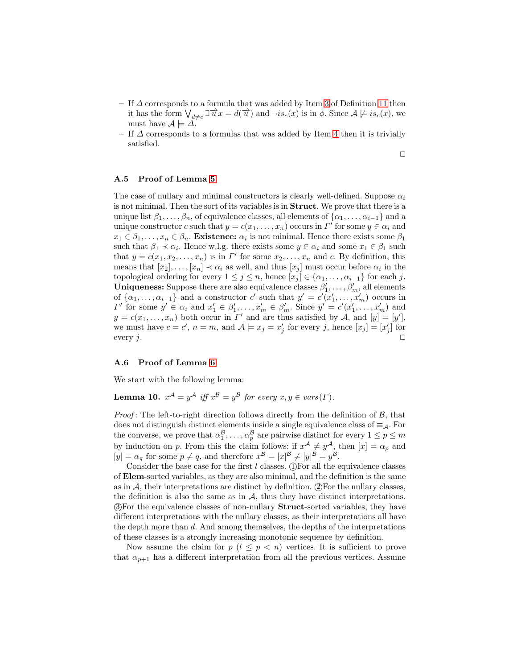- If  $\Delta$  corresponds to a formula that was added by Item [3](#page-9-3) of Definition [11](#page-9-0) then it has the form  $\bigvee_{d\neq c} \exists \overrightarrow{u}x = d(\overrightarrow{u})$  and  $\neg is_c(x)$  is in  $\phi$ . Since  $\mathcal{A} \not\models is_c(x)$ , we must have  $\mathcal{A} \models \Delta$ .
- If  $\Delta$  corresponds to a formulas that was added by Item [4](#page-9-4) then it is trivially satisfied.

⊓⊔

# A.5 Proof of Lemma [5](#page-11-2)

The case of nullary and minimal constructors is clearly well-defined. Suppose  $\alpha_i$ is not minimal. Then the sort of its variables is in Struct. We prove that there is a unique list  $\beta_1, \ldots, \beta_n$ , of equivalence classes, all elements of  $\{\alpha_1, \ldots, \alpha_{i-1}\}$  and a unique constructor c such that  $y = c(x_1, \ldots, x_n)$  occurs in  $\Gamma'$  for some  $y \in \alpha_i$  and  $x_1 \in \beta_1, \ldots, x_n \in \beta_n$ . Existence:  $\alpha_i$  is not minimal. Hence there exists some  $\beta_1$ such that  $\beta_1 \prec \alpha_i$ . Hence w.l.g. there exists some  $y \in \alpha_i$  and some  $x_1 \in \beta_1$  such that  $y = c(x_1, x_2, \ldots, x_n)$  is in  $\Gamma'$  for some  $x_2, \ldots, x_n$  and c. By definition, this means that  $[x_2], \ldots, [x_n] \prec \alpha_i$  as well, and thus  $[x_j]$  must occur before  $\alpha_i$  in the topological ordering for every  $1 \leq j \leq n$ , hence  $[x_j] \in \{\alpha_1, \ldots, \alpha_{i-1}\}\$  for each j. **Uniqueness:** Suppose there are also equivalence classes  $\beta'_1, \ldots, \beta'_m$ , all elements of  $\{\alpha_1, \ldots, \alpha_{i-1}\}\$  and a constructor  $c'$  such that  $y' = c'(x'_1, \ldots, x'_m)$  occurs in  $\Gamma'$  for some  $y' \in \alpha_i$  and  $x'_1 \in \beta'_1, \ldots, x'_m \in \beta'_m$ . Since  $y' = c'(x'_1, \ldots, x'_m)$  and  $y = c(x_1, \ldots, x_n)$  both occur in  $\Gamma'$  and are thus satisfied by A, and  $[y] = [y']$ , we must have  $c = c'$ ,  $n = m$ , and  $\mathcal{A} \models x_j = x'_j$  for every j, hence  $[x_j] = [x'_j]$  for every j.  $□$ 

#### A.6 Proof of Lemma [6](#page-11-0)

<span id="page-20-0"></span>We start with the following lemma:

**Lemma 10.**  $x^{\mathcal{A}} = y^{\mathcal{A}}$  iff  $x^{\mathcal{B}} = y^{\mathcal{B}}$  for every  $x, y \in vars(\Gamma)$ .

*Proof*: The left-to-right direction follows directly from the definition of  $\mathcal{B}$ , that does not distinguish distinct elements inside a single equivalence class of  $\equiv_{\mathcal{A}}$ . For the converse, we prove that  $\alpha_1^{\mathcal{B}}, \ldots, \alpha_p^{\mathcal{B}}$  are pairwise distinct for every  $1 \le p \le m$ by induction on p. From this the claim follows: if  $x^{\mathcal{A}} \neq y^{\mathcal{A}}$ , then  $[x] = \alpha_p$  and  $[y] = \alpha_q$  for some  $p \neq q$ , and therefore  $x^{\mathcal{B}} = [x]^{\mathcal{B}} \neq [y]^{\mathcal{B}} = y^{\mathcal{B}}$ .

Consider the base case for the first  $l$  classes. (I) For all the equivalence classes of Elem-sorted variables, as they are also minimal, and the definition is the same as in  $A$ , their interpretations are distinct by definition.  $(2)$  For the nullary classes, the definition is also the same as in  $A$ , thus they have distinct interpretations. 3 For the equivalence classes of non-nullary Struct-sorted variables, they have different interpretations with the nullary classes, as their interpretations all have the depth more than d. And among themselves, the depths of the interpretations of these classes is a strongly increasing monotonic sequence by definition.

Now assume the claim for  $p$  ( $l \leq p \leq n$ ) vertices. It is sufficient to prove that  $\alpha_{p+1}$  has a different interpretation from all the previous vertices. Assume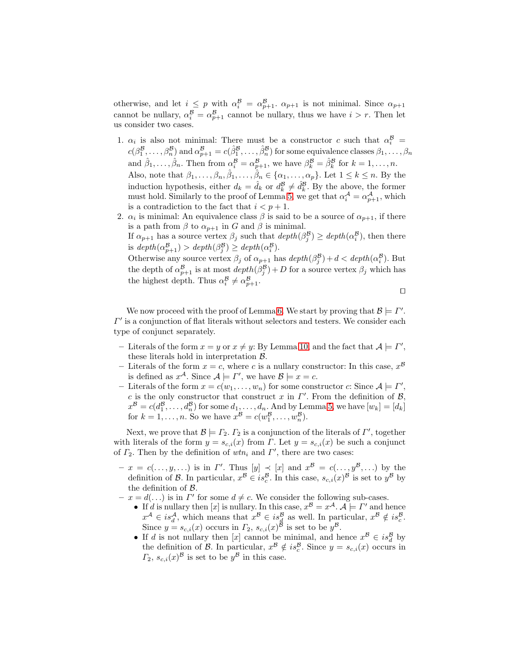otherwise, and let  $i \leq p$  with  $\alpha_i^{\mathcal{B}} = \alpha_{p+1}^{\mathcal{B}}$ .  $\alpha_{p+1}$  is not minimal. Since  $\alpha_{p+1}$ cannot be nullary,  $\alpha_i^{\mathcal{B}} = \alpha_{p+1}^{\mathcal{B}}$  cannot be nullary, thus we have  $i > r$ . Then let us consider two cases.

- 1.  $\alpha_i$  is also not minimal: There must be a constructor c such that  $\alpha_i^{\mathcal{B}} =$  $c(\beta_1^{\mathcal{B}},\ldots,\beta_n^{\mathcal{B}})$  and  $\alpha_{p+1}^{\mathcal{B}}=c(\hat{\beta}_1^{\mathcal{B}},\ldots,\hat{\beta}_n^{\mathcal{B}})$  for some equivalence classes  $\beta_1,\ldots,\beta_n$ and  $\hat{\beta}_1, \ldots, \hat{\beta}_n$ . Then from  $\alpha_i^{\mathcal{B}} = \alpha_{p+1}^{\mathcal{B}}$ , we have  $\beta_k^{\mathcal{B}} = \hat{\beta}_k^{\mathcal{B}}$  for  $k = 1, \ldots, n$ . Also, note that  $\beta_1,\ldots,\beta_n,\hat{\beta}_1,\ldots,\hat{\beta}_n\in\{\alpha_1,\ldots,\alpha_p\}$ . Let  $1\leq k\leq n$ . By the induction hypothesis, either  $d_k = \hat{d}_k$  or  $d_k^{\mathcal{B}} \neq \hat{d}_k^{\mathcal{B}}$ . By the above, the former must hold. Similarly to the proof of Lemma [5,](#page-11-2) we get that  $\alpha_i^{\mathcal{A}} = \alpha_{p+1}^{\mathcal{A}}$ , which is a contradiction to the fact that  $i < p + 1$ .
- 2.  $\alpha_i$  is minimal: An equivalence class  $\beta$  is said to be a source of  $\alpha_{p+1}$ , if there is a path from  $\beta$  to  $\alpha_{p+1}$  in G and  $\beta$  is minimal. If  $\alpha_{p+1}$  has a source vertex  $\beta_j$  such that  $depth(\beta_j^B) \geq depth(\alpha_i^B)$ , then there is  $depth(\alpha_{p+1}^B) > depth(\beta_j^B) \geq depth(\alpha_i^B)$ .  $j \neq \mu$  is  $(i \in I)$ Otherwise any source vertex  $\beta_j$  of  $\alpha_{p+1}$  has  $depth(\beta_j^B) + d < depth(\alpha_i^B)$ . But the depth of  $\alpha_{p+1}^{\mathcal{B}}$  is at most  $depth(\beta_j^{\mathcal{B}}) + D$  for a source vertex  $\beta_j$  which has the highest depth. Thus  $\alpha_i^{\mathcal{B}} \neq \alpha_{p+1}^{\mathcal{B}}$ .

⊓⊔

We now proceed with the proof of Lemma [6.](#page-11-0) We start by proving that  $\mathcal{B} \models \Gamma'$ .  $\Gamma'$  is a conjunction of flat literals without selectors and testers. We consider each type of conjunct separately.

- Literals of the form  $x = y$  or  $x \neq y$ : By Lemma [10,](#page-20-0) and the fact that  $\mathcal{A} \models \Gamma'$ , these literals hold in interpretation  $\beta$ .
- Literals of the form  $x = c$ , where c is a nullary constructor: In this case,  $x^{\beta}$ is defined as  $x^{\mathcal{A}}$ . Since  $\mathcal{A} \models \Gamma'$ , we have  $\mathcal{B} \models x = c$ .
- Literals of the form  $x = c(w_1, \ldots, w_n)$  for some constructor c: Since  $A \models \Gamma'$ , c is the only constructor that construct x in  $\Gamma'$ . From the definition of  $\mathcal{B}$ ,  $x^{\mathcal{B}} = c(d_1^{\mathcal{B}}, \ldots, d_n^{\mathcal{B}})$  for some  $d_1, \ldots, d_n$ . And by Lemma [5,](#page-11-2) we have  $[w_k] = [d_k]$ for  $k = 1, \ldots, n$ . So we have  $x^{\mathcal{B}} = c(w_1^{\mathcal{B}}, \ldots, w_n^{\mathcal{B}})$ .

Next, we prove that  $\mathcal{B} \models \Gamma_2$ .  $\Gamma_2$  is a conjunction of the literals of  $\Gamma'$ , together with literals of the form  $y = s_{c,i}(x)$  from  $\Gamma$ . Let  $y = s_{c,i}(x)$  be such a conjunct of  $\Gamma_2$ . Then by the definition of  $wtn_i$  and  $\Gamma'$ , there are two cases:

- $-x = c(..., y, ...)$  is in  $\Gamma'$ . Thus  $[y] \prec [x]$  and  $x^{\mathcal{B}} = c(..., y^{\mathcal{B}}, ...)$  by the definition of B. In particular,  $x^B \in is_c^B$ . In this case,  $s_{c,i}(x)^B$  is set to  $y^B$  by the definition of B.
- $z x = d(\ldots)$  is in  $\Gamma'$  for some  $d \neq c$ . We consider the following sub-cases.
	- If d is nullary then [x] is nullary. In this case,  $x^{\mathcal{B}} = x^{\mathcal{A}}$ .  $\mathcal{A} \models \Gamma'$  and hence  $x^{\mathcal{A}} \in is_d^{\mathcal{A}},$  which means that  $x^{\mathcal{B}} \in is_d^{\mathcal{B}}$  as well. In particular,  $x^{\mathcal{B}} \notin is_c^{\mathcal{B}}$ . Since  $y = s_{c,i}(x)$  occurs in  $\Gamma_2$ ,  $s_{c,i}(x)^{\mathcal{B}}$  is set to be  $y^{\mathcal{B}}$ .
	- If d is not nullary then [x] cannot be minimal, and hence  $x^B \in is_d^B$  by the definition of B. In particular,  $x^{\mathcal{B}} \notin is_c^{\mathcal{B}}$ . Since  $y = s_{c,i}(x)$  occurs in  $\Gamma_2$ ,  $s_{c,i}(x)^{\mathcal{B}}$  is set to be  $y^{\mathcal{B}}$  in this case.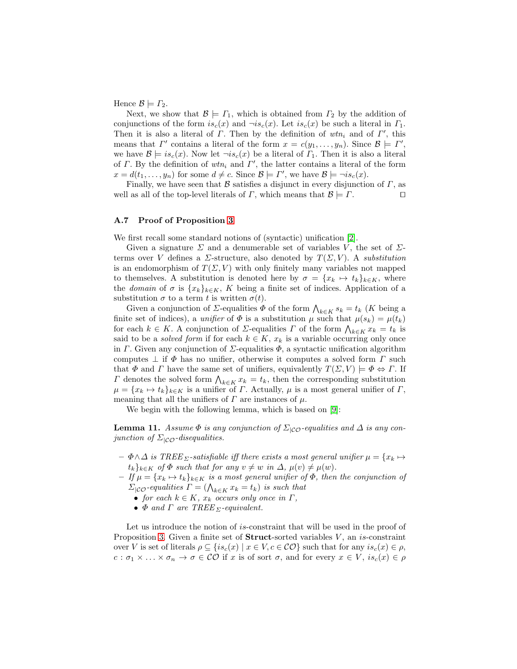Hence  $\mathcal{B} \models \Gamma_2$ .

Next, we show that  $\mathcal{B} \models \Gamma_1$ , which is obtained from  $\Gamma_2$  by the addition of conjunctions of the form  $is_c(x)$  and  $\neg is_c(x)$ . Let  $is_c(x)$  be such a literal in  $\Gamma_1$ . Then it is also a literal of  $\Gamma$ . Then by the definition of wtn<sub>i</sub> and of  $\Gamma'$ , this means that  $\Gamma'$  contains a literal of the form  $x = c(y_1, \ldots, y_n)$ . Since  $\mathcal{B} \models \Gamma'$ , we have  $\mathcal{B} \models is_c(x)$ . Now let  $\neg is_c(x)$  be a literal of  $\Gamma_1$ . Then it is also a literal of  $\Gamma$ . By the definition of  $wtn_i$  and  $\Gamma'$ , the latter contains a literal of the form  $x = d(t_1, \ldots, y_n)$  for some  $d \neq c$ . Since  $\mathcal{B} \models \Gamma'$ , we have  $\mathcal{B} \models \neg is_c(x)$ .

Finally, we have seen that B satisfies a disjunct in every disjunction of  $\Gamma$ , as well as all of the top-level literals of  $\Gamma$ , which means that  $\mathcal{B} \models \Gamma$ . □

#### A.7 Proof of Proposition [3](#page-14-1)

We first recall some standard notions of (syntactic) unification [2].

Given a signature  $\Sigma$  and a denumerable set of variables V, the set of  $\Sigma$ terms over V defines a  $\Sigma$ -structure, also denoted by  $T(\Sigma, V)$ . A substitution is an endomorphism of  $T(\Sigma, V)$  with only finitely many variables not mapped to themselves. A substitution is denoted here by  $\sigma = \{x_k \mapsto t_k\}_{k \in K}$ , where the domain of  $\sigma$  is  $\{x_k\}_{k\in K}$ , K being a finite set of indices. Application of a substitution  $\sigma$  to a term t is written  $\sigma(t)$ .

Given a conjunction of  $\Sigma$ -equalities  $\Phi$  of the form  $\bigwedge_{k\in K} s_k = t_k$  (K being a finite set of indices), a unifier of  $\Phi$  is a substitution  $\mu$  such that  $\mu(s_k) = \mu(t_k)$ for each  $k \in K$ . A conjunction of  $\Sigma$ -equalities  $\Gamma$  of the form  $\bigwedge_{k \in K} x_k = t_k$  is said to be a *solved form* if for each  $k \in K$ ,  $x_k$  is a variable occurring only once in Γ. Given any conjunction of  $\Sigma$ -equalities  $\Phi$ , a syntactic unification algorithm computes  $\perp$  if  $\Phi$  has no unifier, otherwise it computes a solved form  $\Gamma$  such that  $\Phi$  and  $\Gamma$  have the same set of unifiers, equivalently  $T(\Sigma, V) \models \Phi \Leftrightarrow \Gamma$ . If  $\Gamma$  denotes the solved form  $\bigwedge_{k \in K} x_k = t_k$ , then the corresponding substitution  $\mu = \{x_k \mapsto t_k\}_{k \in K}$  is a unifier of  $\Gamma$ . Actually,  $\mu$  is a most general unifier of  $\Gamma$ , meaning that all the unifiers of  $\Gamma$  are instances of  $\mu$ .

<span id="page-22-0"></span>We begin with the following lemma, which is based on [\[9\]](#page-16-2):

**Lemma 11.** Assume  $\Phi$  is any conjunction of  $\Sigma_{|\mathcal{CO}}$ -equalities and  $\Delta$  is any conjunction of  $\Sigma_{\mathcal{C}\mathcal{O}}$ -disequalities.

- $-\Phi \wedge \Delta$  is TREE  $\Sigma$ -satisfiable iff there exists a most general unifier  $\mu = \{x_k \mapsto \Sigma\}$  $t_k$ <sub>k∈K</sub> of  $\Phi$  such that for any  $v \neq w$  in  $\Delta$ ,  $\mu(v) \neq \mu(w)$ .
- $-If \mu = \{x_k \mapsto t_k\}_{k \in K}$  is a most general unifier of  $\Phi$ , then the conjunction of  $\Sigma_{|\mathcal{CO}}$ -equalities  $\Gamma = (\bigwedge_{k \in K} x_k = t_k)$  is such that
	- for each  $k \in K$ ,  $x_k$  occurs only once in  $\Gamma$ ,
	- $\Phi$  and  $\Gamma$  are TREE  $\Sigma$ -equivalent.

Let us introduce the notion of is-constraint that will be used in the proof of Proposition [3.](#page-14-1) Given a finite set of **Struct**-sorted variables  $V$ , an is-constraint over V is set of literals  $\rho \subseteq \{is_c(x) \mid x \in V, c \in \mathcal{CO}\}\$  such that for any  $is_c(x) \in \rho$ ,  $c : \sigma_1 \times \ldots \times \sigma_n \to \sigma \in \mathcal{CO}$  if x is of sort  $\sigma$ , and for every  $x \in V$ ,  $is_c(x) \in \rho$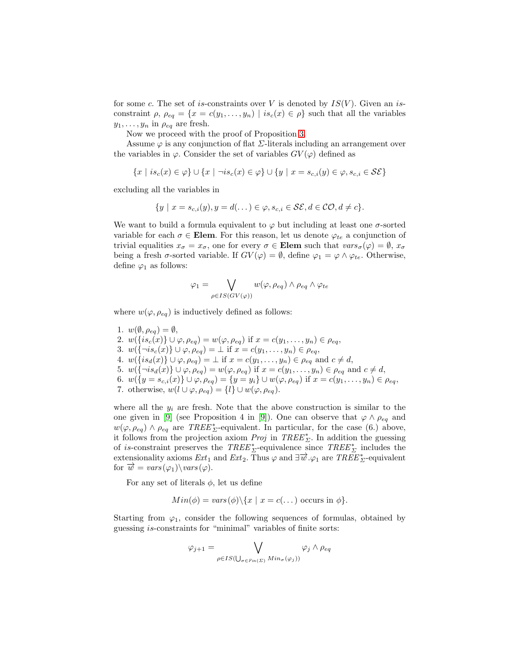for some c. The set of is-constraints over V is denoted by  $IS(V)$ . Given an isconstraint  $\rho$ ,  $\rho_{eq} = \{x = c(y_1, \ldots, y_n) \mid is_c(x) \in \rho\}$  such that all the variables  $y_1, \ldots, y_n$  in  $\rho_{eq}$  are fresh.

Now we proceed with the proof of Proposition [3.](#page-14-1)

Assume  $\varphi$  is any conjunction of flat  $\Sigma$ -literals including an arrangement over the variables in  $\varphi$ . Consider the set of variables  $GV(\varphi)$  defined as

$$
\{x \mid is_c(x) \in \varphi\} \cup \{x \mid \neg is_c(x) \in \varphi\} \cup \{y \mid x = s_{c,i}(y) \in \varphi, s_{c,i} \in \mathcal{SE}\}\
$$

excluding all the variables in

$$
\{y \mid x = s_{c,i}(y), y = d(\dots) \in \varphi, s_{c,i} \in \mathcal{SE}, d \in \mathcal{CO}, d \neq c\}.
$$

We want to build a formula equivalent to  $\varphi$  but including at least one  $\sigma$ -sorted variable for each  $\sigma \in \mathbf{Elem}$ . For this reason, let us denote  $\varphi_{te}$  a conjunction of trivial equalities  $x_{\sigma} = x_{\sigma}$ , one for every  $\sigma \in \mathbf{Elem}$  such that  $vars_{\sigma}(\varphi) = \emptyset$ ,  $x_{\sigma}$ being a fresh  $\sigma$ -sorted variable. If  $GV(\varphi) = \emptyset$ , define  $\varphi_1 = \varphi \wedge \varphi_{te}$ . Otherwise, define  $\varphi_1$  as follows:

$$
\varphi_1 = \bigvee_{\rho \in IS(GV(\varphi))} w(\varphi, \rho_{eq}) \wedge \rho_{eq} \wedge \varphi_{te}
$$

where  $w(\varphi, \rho_{eq})$  is inductively defined as follows:

1.  $w(\emptyset, \rho_{eq}) = \emptyset$ , 2.  $w(\lbrace is_c(x) \rbrace \cup \varphi, \rho_{eq}) = w(\varphi, \rho_{eq})$  if  $x = c(y_1, \ldots, y_n) \in \rho_{eq}$ , 3.  $w(\{\neg is_c(x)\} \cup \varphi, \rho_{eq}) = \bot \text{ if } x = c(y_1, \ldots, y_n) \in \rho_{eq},$ 4.  $w({is_d(x)} \cup \varphi, \rho_{eq}) = \bot$  if  $x = c(y_1, \ldots, y_n) \in \rho_{eq}$  and  $c \neq d$ , 5.  $w(\{\neg is_d(x)\} \cup \varphi, \rho_{eq}) = w(\varphi, \rho_{eq})$  if  $x = c(y_1, \ldots, y_n) \in \rho_{eq}$  and  $c \neq d$ , 6.  $w({y = s_{c,i}(x)} \cup \varphi, \rho_{eq}) = {y = y_i} \cup w(\varphi, \rho_{eq})$  if  $x = c(y_1, \ldots, y_n) \in \rho_{eq}$ , 7. otherwise,  $w(l \cup \varphi, \rho_{eq}) = \{l\} \cup w(\varphi, \rho_{eq}).$ 

where all the  $y_i$  are fresh. Note that the above construction is similar to the one given in [\[9\]](#page-16-2) (see Proposition 4 in [9]). One can observe that  $\varphi \wedge \rho_{eq}$  and  $w(\varphi, \rho_{eq}) \wedge \rho_{eq}$  are TREE<sup>\*</sup><sub>L</sub>-equivalent. In particular, for the case (6.) above, it follows from the projection axiom  $Proj$  in  $TREE^*_{\Sigma}$ . In addition the guessing of is-constraint preserves the  $TREE^*_{\Sigma}$ -equivalence since  $TREE^*_{\Sigma}$  includes the extensionality axioms  $Ext_1$  and  $Ext_2$ . Thus  $\varphi$  and  $\exists \overrightarrow{w} . \varphi_1$  are  $TREE^*_{\Sigma}$ -equivalent for  $\overrightarrow{w} = vars(\varphi_1) \backslash vars(\varphi)$ .

For any set of literals  $\phi$ , let us define

$$
Min(\phi) = vars(\phi) \setminus \{x \mid x = c(\dots) \text{ occurs in } \phi\}.
$$

Starting from  $\varphi_1$ , consider the following sequences of formulas, obtained by guessing is-constraints for "minimal" variables of finite sorts:

$$
\varphi_{j+1} = \bigvee_{\rho \in IS(\bigcup_{\sigma \in Fin(\Sigma)} Min_{\sigma}(\varphi_j))} \varphi_j \wedge \rho_{eq}
$$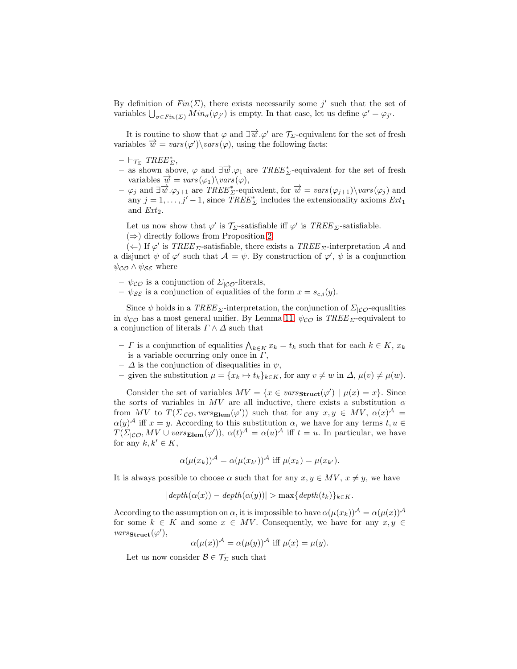By definition of  $Fin(\Sigma)$ , there exists necessarily some j' such that the set of variables  $\bigcup_{\sigma \in Fin(\Sigma)} Min_{\sigma}(\varphi_{j'})$  is empty. In that case, let us define  $\varphi' = \varphi_{j'}$ .

It is routine to show that  $\varphi$  and  $\exists \overrightarrow{w}.\varphi'$  are  $\mathcal{T}_{\Sigma}$ -equivalent for the set of fresh variables  $\vec{w} = vars(\varphi')\varphi$ , using the following facts:

- $\vdash_{\mathcal{T}_{\Sigma}} \, TREE^*_{\Sigma},$
- $-$  as shown above,  $\varphi$  and  $\exists \vec{w} . \varphi_1$  are  $TREE^*_{\Sigma}$ -equivalent for the set of fresh variables  $\overrightarrow{w} = vars(\varphi_1) \backslash vars(\varphi),$
- $-\varphi_j$  and  $\exists \vec{w} \cdot \varphi_{j+1}$  are  $TREE^*_{\Sigma}$ -equivalent, for  $\vec{w} = vars(\varphi_{j+1})\backslash vars(\varphi_j)$  and any  $j = 1, \ldots, j' - 1$ , since  $\overline{TREE}_{\Sigma}^*$  includes the extensionality axioms  $Ext_1$ and  $Ext_2$ .

Let us now show that  $\varphi'$  is  $\mathcal{T}_{\Sigma}$ -satisfiable iff  $\varphi'$  is  $\mathit{TREE}_{\Sigma}$ -satisfiable.  $(\Rightarrow)$  directly follows from Proposition [2.](#page-13-2)

(←) If  $\varphi'$  is  $\mathit{TREE}_{\Sigma}$ -satisfiable, there exists a  $\mathit{TREE}_{\Sigma}$ -interpretation A and a disjunct  $\psi$  of  $\varphi'$  such that  $\mathcal{A} \models \psi$ . By construction of  $\varphi', \psi$  is a conjunction  $\psi_{\mathcal{CO}} \wedge \psi_{\mathcal{SE}}$  where

- $\psi_{\mathcal{CO}}$  is a conjunction of  $\Sigma_{|\mathcal{CO}}$ -literals,
- $-\psi_{\mathcal{S}\mathcal{E}}$  is a conjunction of equalities of the form  $x = s_{c,i}(y)$ .

Since  $\psi$  holds in a TREE <sub>Σ</sub>-interpretation, the conjunction of  $\Sigma_{\text{ICO}}$ -equalities in  $\psi_{\mathcal{CO}}$  has a most general unifier. By Lemma [11,](#page-22-0)  $\psi_{\mathcal{CO}}$  is  $TREE_{\Sigma}$ -equivalent to a conjunction of literals  $\Gamma \wedge \Delta$  such that

- $-$  *Γ* is a conjunction of equalities  $\bigwedge_{k \in K} x_k = t_k$  such that for each  $k \in K$ ,  $x_k$ is a variable occurring only once in  $\Gamma$ .
- $\Delta$  is the conjunction of disequalities in  $\psi$ ,
- given the substitution  $\mu = \{x_k \mapsto t_k\}_{k \in K}$ , for any  $v \neq w$  in  $\Delta$ ,  $\mu(v) \neq \mu(w)$ .

Consider the set of variables  $MV = \{x \in vars_{struct}(\varphi') \mid \mu(x) = x\}.$  Since the sorts of variables in  $MV$  are all inductive, there exists a substitution  $\alpha$ from MV to  $T(\Sigma_{|\mathcal{CO}}, vars_{\mathbf{Element}}(\varphi'))$  such that for any  $x, y \in MV, \alpha(x)^{\mathcal{A}} =$  $\alpha(y)^{\mathcal{A}}$  iff  $x = y$ . According to this substitution  $\alpha$ , we have for any terms  $t, u \in$  $T(\Sigma_{|\mathcal{CO}}, MV \cup vars_{\mathbf{Element}}(\varphi'))$ ,  $\alpha(t)^{\mathcal{A}} = \alpha(u)^{\mathcal{A}}$  iff  $t = u$ . In particular, we have for any  $k, k' \in K$ ,

$$
\alpha(\mu(x_k))^{\mathcal{A}} = \alpha(\mu(x_{k'}))^{\mathcal{A}} \text{ iff } \mu(x_k) = \mu(x_{k'}).
$$

It is always possible to choose  $\alpha$  such that for any  $x, y \in MV, x \neq y$ , we have

$$
|depth(\alpha(x)) - depth(\alpha(y))| > \max\{depth(t_k)\}_{k \in K}.
$$

According to the assumption on  $\alpha$ , it is impossible to have  $\alpha(\mu(x_k))^{\mathcal{A}} = \alpha(\mu(x))^{\mathcal{A}}$ for some  $k \in K$  and some  $x \in MV$ . Consequently, we have for any  $x, y \in$  $vars_{\textbf{struct}}(\varphi'),$ 

$$
\alpha(\mu(x))^{\mathcal{A}} = \alpha(\mu(y))^{\mathcal{A}} \text{ iff } \mu(x) = \mu(y).
$$

Let us now consider  $\mathcal{B} \in \mathcal{T}_{\Sigma}$  such that